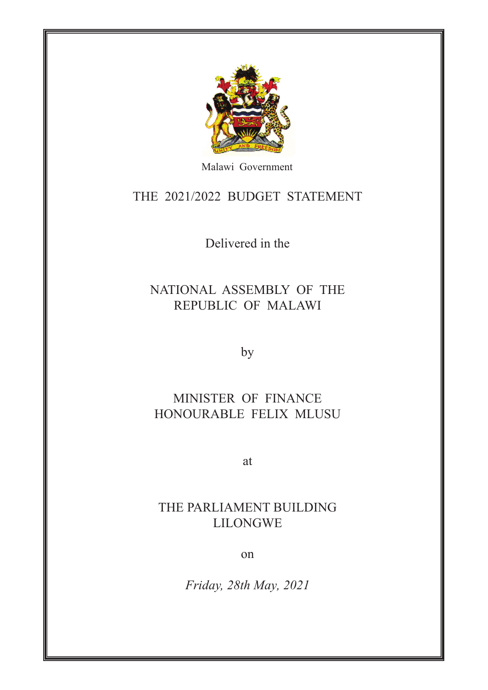

Malawi Government

THE 2021/2022 BUDGET STATEMENT

Delivered in the

#### NATIONAL ASSEMBLY OF THE REPUBLIC OF MALAWI

by

#### MINISTER OF FINANCE HONOURABLE FELIX MLUSU

at

#### THE PARLIAMENT BUILDING LILONGWE

on

*Friday, 28th May, 2021*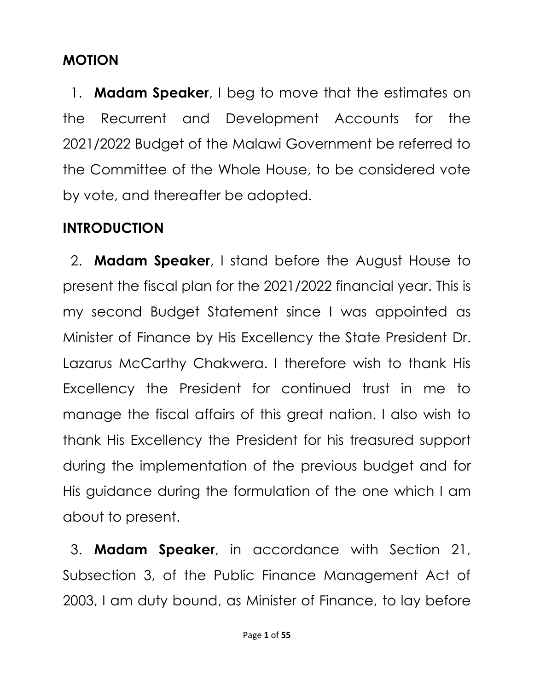#### **MOTION**

1. **Madam Speaker**, I beg to move that the estimates on the Recurrent and Development Accounts for the 2021/2022 Budget of the Malawi Government be referred to the Committee of the Whole House, to be considered vote by vote, and thereafter be adopted.

## **INTRODUCTION**

2. **Madam Speaker**, I stand before the August House to present the fiscal plan for the 2021/2022 financial year. This is my second Budget Statement since I was appointed as Minister of Finance by His Excellency the State President Dr. Lazarus McCarthy Chakwera. I therefore wish to thank His Excellency the President for continued trust in me to manage the fiscal affairs of this great nation. I also wish to thank His Excellency the President for his treasured support during the implementation of the previous budget and for His guidance during the formulation of the one which I am about to present.

3. **Madam Speaker**, in accordance with Section 21, Subsection 3, of the Public Finance Management Act of 2003, I am duty bound, as Minister of Finance, to lay before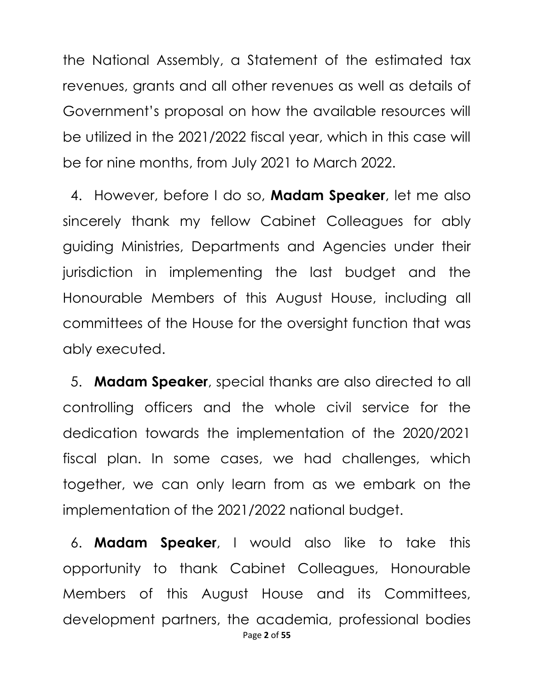the National Assembly, a Statement of the estimated tax revenues, grants and all other revenues as well as details of Government's proposal on how the available resources will be utilized in the 2021/2022 fiscal year, which in this case will be for nine months, from July 2021 to March 2022.

4. However, before I do so, **Madam Speaker**, let me also sincerely thank my fellow Cabinet Colleagues for ably guiding Ministries, Departments and Agencies under their jurisdiction in implementing the last budget and the Honourable Members of this August House, including all committees of the House for the oversight function that was ably executed.

5. **Madam Speaker**, special thanks are also directed to all controlling officers and the whole civil service for the dedication towards the implementation of the 2020/2021 fiscal plan. In some cases, we had challenges, which together, we can only learn from as we embark on the implementation of the 2021/2022 national budget.

Page **2** of **55** 6. **Madam Speaker**, I would also like to take this opportunity to thank Cabinet Colleagues, Honourable Members of this August House and its Committees, development partners, the academia, professional bodies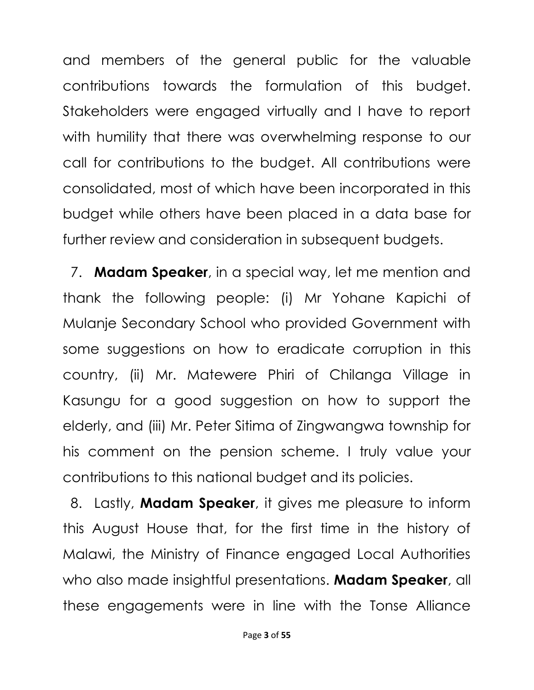and members of the general public for the valuable contributions towards the formulation of this budget. Stakeholders were engaged virtually and I have to report with humility that there was overwhelming response to our call for contributions to the budget. All contributions were consolidated, most of which have been incorporated in this budget while others have been placed in a data base for further review and consideration in subsequent budgets.

7. **Madam Speaker**, in a special way, let me mention and thank the following people: (i) Mr Yohane Kapichi of Mulanje Secondary School who provided Government with some suggestions on how to eradicate corruption in this country, (ii) Mr. Matewere Phiri of Chilanga Village in Kasungu for a good suggestion on how to support the elderly, and (iii) Mr. Peter Sitima of Zingwangwa township for his comment on the pension scheme. I truly value your contributions to this national budget and its policies.

8. Lastly, **Madam Speaker**, it gives me pleasure to inform this August House that, for the first time in the history of Malawi, the Ministry of Finance engaged Local Authorities who also made insightful presentations. **Madam Speaker**, all these engagements were in line with the Tonse Alliance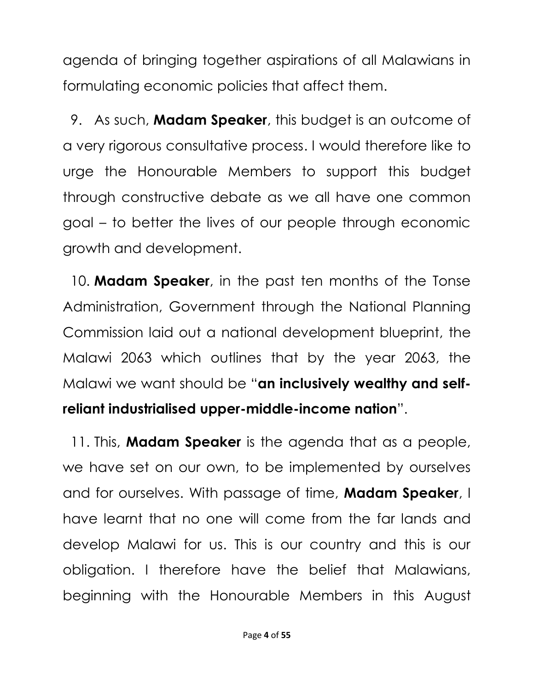agenda of bringing together aspirations of all Malawians in formulating economic policies that affect them.

9. As such, **Madam Speaker**, this budget is an outcome of a very rigorous consultative process. I would therefore like to urge the Honourable Members to support this budget through constructive debate as we all have one common goal – to better the lives of our people through economic growth and development.

10. **Madam Speaker**, in the past ten months of the Tonse Administration, Government through the National Planning Commission laid out a national development blueprint, the Malawi 2063 which outlines that by the year 2063, the Malawi we want should be "**an inclusively wealthy and selfreliant industrialised upper-middle-income nation**".

11. This, **Madam Speaker** is the agenda that as a people, we have set on our own, to be implemented by ourselves and for ourselves. With passage of time, **Madam Speaker**, I have learnt that no one will come from the far lands and develop Malawi for us. This is our country and this is our obligation. I therefore have the belief that Malawians, beginning with the Honourable Members in this August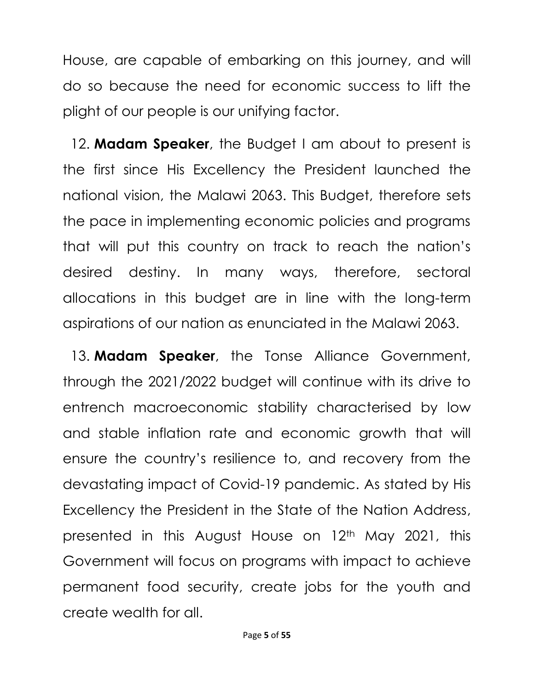House, are capable of embarking on this journey, and will do so because the need for economic success to lift the plight of our people is our unifying factor.

12. **Madam Speaker**, the Budget I am about to present is the first since His Excellency the President launched the national vision, the Malawi 2063. This Budget, therefore sets the pace in implementing economic policies and programs that will put this country on track to reach the nation's desired destiny. In many ways, therefore, sectoral allocations in this budget are in line with the long-term aspirations of our nation as enunciated in the Malawi 2063.

13. **Madam Speaker**, the Tonse Alliance Government, through the 2021/2022 budget will continue with its drive to entrench macroeconomic stability characterised by low and stable inflation rate and economic growth that will ensure the country's resilience to, and recovery from the devastating impact of Covid-19 pandemic. As stated by His Excellency the President in the State of the Nation Address, presented in this August House on 12<sup>th</sup> May 2021, this Government will focus on programs with impact to achieve permanent food security, create jobs for the youth and create wealth for all.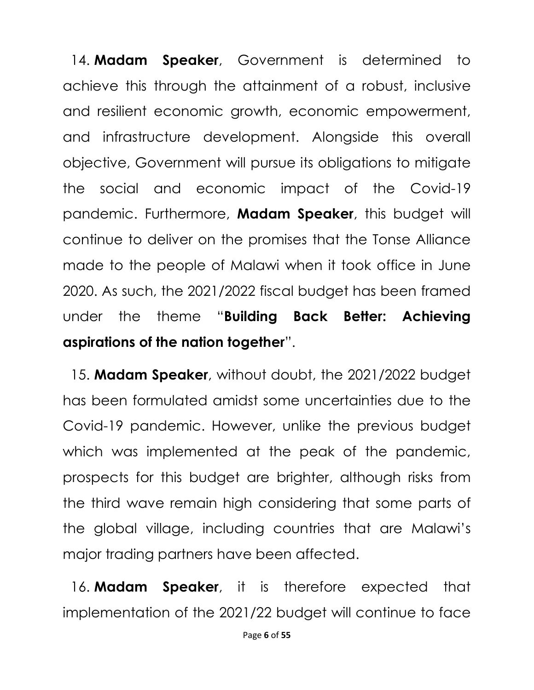14. **Madam Speaker**, Government is determined to achieve this through the attainment of a robust, inclusive and resilient economic growth, economic empowerment, and infrastructure development. Alongside this overall objective, Government will pursue its obligations to mitigate the social and economic impact of the Covid-19 pandemic. Furthermore, **Madam Speaker**, this budget will continue to deliver on the promises that the Tonse Alliance made to the people of Malawi when it took office in June 2020. As such, the 2021/2022 fiscal budget has been framed under the theme "**Building Back Better: Achieving aspirations of the nation together**".

15. **Madam Speaker**, without doubt, the 2021/2022 budget has been formulated amidst some uncertainties due to the Covid-19 pandemic. However, unlike the previous budget which was implemented at the peak of the pandemic, prospects for this budget are brighter, although risks from the third wave remain high considering that some parts of the global village, including countries that are Malawi's major trading partners have been affected.

16. **Madam Speaker**, it is therefore expected that implementation of the 2021/22 budget will continue to face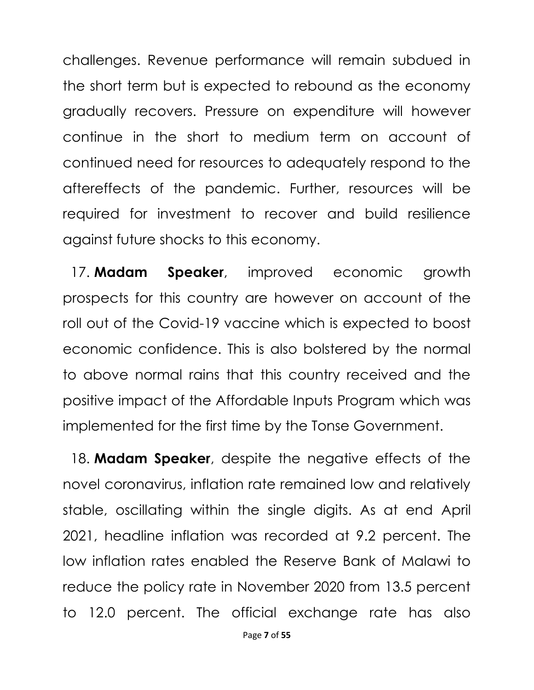challenges. Revenue performance will remain subdued in the short term but is expected to rebound as the economy gradually recovers. Pressure on expenditure will however continue in the short to medium term on account of continued need for resources to adequately respond to the aftereffects of the pandemic. Further, resources will be required for investment to recover and build resilience against future shocks to this economy.

17. **Madam Speaker**, improved economic growth prospects for this country are however on account of the roll out of the Covid-19 vaccine which is expected to boost economic confidence. This is also bolstered by the normal to above normal rains that this country received and the positive impact of the Affordable Inputs Program which was implemented for the first time by the Tonse Government.

18. **Madam Speaker**, despite the negative effects of the novel coronavirus, inflation rate remained low and relatively stable, oscillating within the single digits. As at end April 2021, headline inflation was recorded at 9.2 percent. The low inflation rates enabled the Reserve Bank of Malawi to reduce the policy rate in November 2020 from 13.5 percent to 12.0 percent. The official exchange rate has also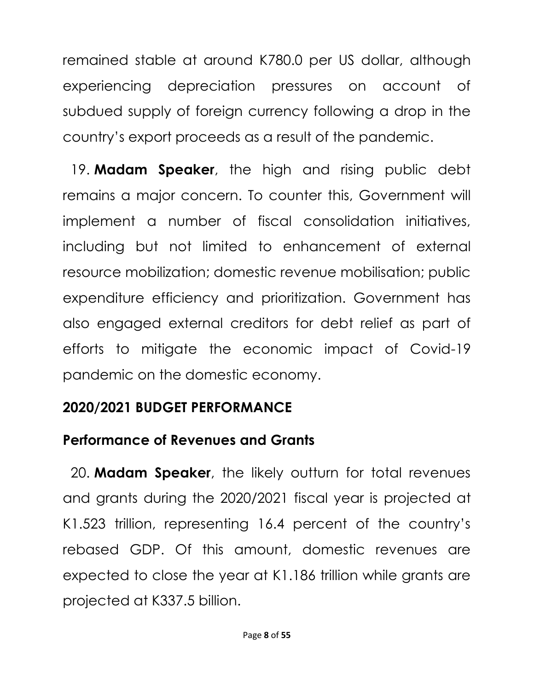remained stable at around K780.0 per US dollar, although experiencing depreciation pressures on account of subdued supply of foreign currency following a drop in the country's export proceeds as a result of the pandemic.

19. **Madam Speaker**, the high and rising public debt remains a major concern. To counter this, Government will implement a number of fiscal consolidation initiatives, including but not limited to enhancement of external resource mobilization; domestic revenue mobilisation; public expenditure efficiency and prioritization. Government has also engaged external creditors for debt relief as part of efforts to mitigate the economic impact of Covid-19 pandemic on the domestic economy.

## **2020/2021 BUDGET PERFORMANCE**

## **Performance of Revenues and Grants**

20. **Madam Speaker**, the likely outturn for total revenues and grants during the 2020/2021 fiscal year is projected at K1.523 trillion, representing 16.4 percent of the country's rebased GDP. Of this amount, domestic revenues are expected to close the year at K1.186 trillion while grants are projected at K337.5 billion.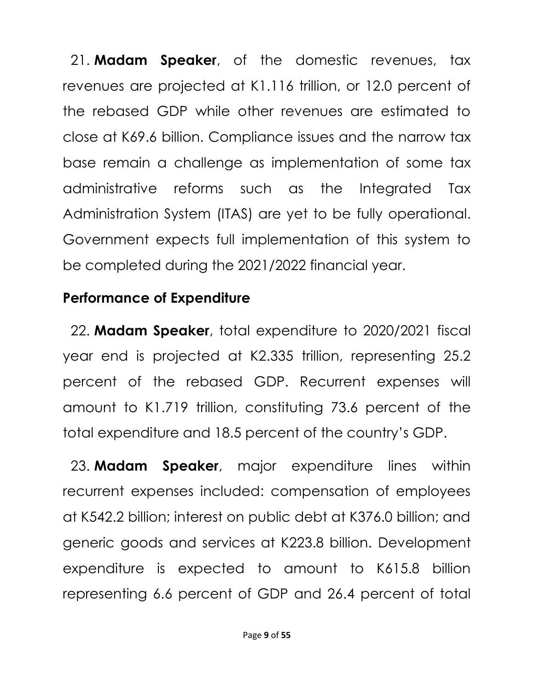21. **Madam Speaker**, of the domestic revenues, tax revenues are projected at K1.116 trillion, or 12.0 percent of the rebased GDP while other revenues are estimated to close at K69.6 billion. Compliance issues and the narrow tax base remain a challenge as implementation of some tax administrative reforms such as the Integrated Tax Administration System (ITAS) are yet to be fully operational. Government expects full implementation of this system to be completed during the 2021/2022 financial year.

#### **Performance of Expenditure**

22. **Madam Speaker**, total expenditure to 2020/2021 fiscal year end is projected at K2.335 trillion, representing 25.2 percent of the rebased GDP. Recurrent expenses will amount to K1.719 trillion, constituting 73.6 percent of the total expenditure and 18.5 percent of the country's GDP.

23. **Madam Speaker**, major expenditure lines within recurrent expenses included: compensation of employees at K542.2 billion; interest on public debt at K376.0 billion; and generic goods and services at K223.8 billion. Development expenditure is expected to amount to K615.8 billion representing 6.6 percent of GDP and 26.4 percent of total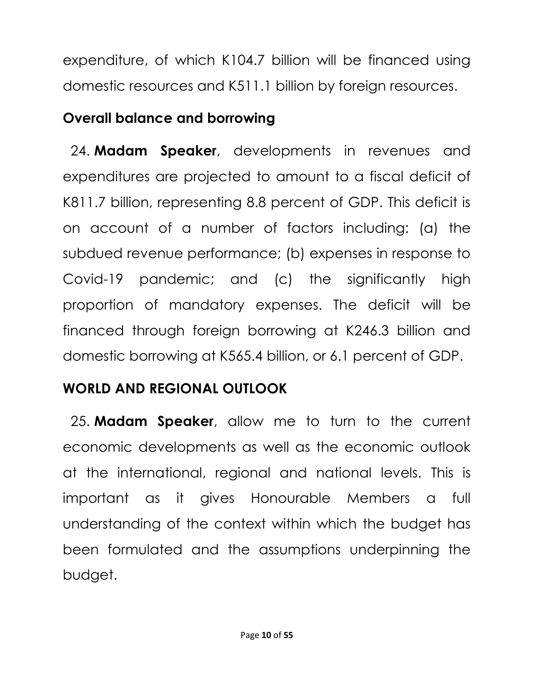expenditure, of which K104.7 billion will be financed using domestic resources and K511.1 billion by foreign resources.

## **Overall balance and borrowing**

24. **Madam Speaker**, developments in revenues and expenditures are projected to amount to a fiscal deficit of K811.7 billion, representing 8.8 percent of GDP. This deficit is on account of a number of factors including: (a) the subdued revenue performance; (b) expenses in response to Covid-19 pandemic; and (c) the significantly high proportion of mandatory expenses. The deficit will be financed through foreign borrowing at K246.3 billion and domestic borrowing at K565.4 billion, or 6.1 percent of GDP.

## **WORLD AND REGIONAL OUTLOOK**

25. **Madam Speaker**, allow me to turn to the current economic developments as well as the economic outlook at the international, regional and national levels. This is important as it gives Honourable Members a full understanding of the context within which the budget has been formulated and the assumptions underpinning the budget.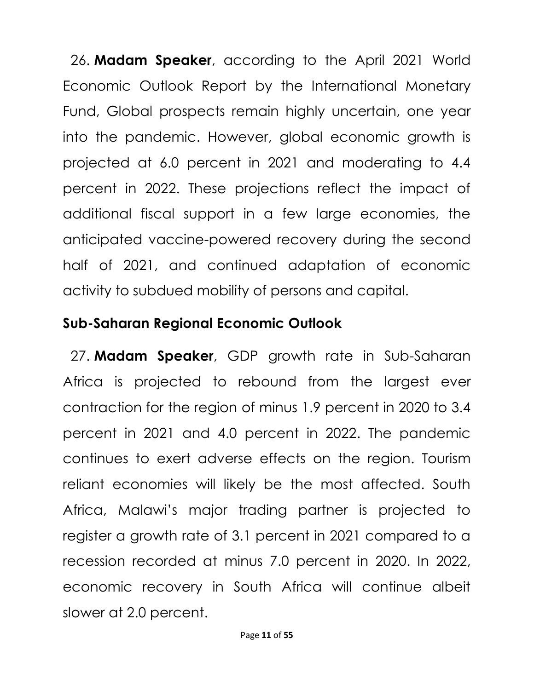26. **Madam Speaker**, according to the April 2021 World Economic Outlook Report by the International Monetary Fund, Global prospects remain highly uncertain, one year into the pandemic. However, global economic growth is projected at 6.0 percent in 2021 and moderating to 4.4 percent in 2022. These projections reflect the impact of additional fiscal support in a few large economies, the anticipated vaccine-powered recovery during the second half of 2021, and continued adaptation of economic activity to subdued mobility of persons and capital.

#### **Sub-Saharan Regional Economic Outlook**

27. **Madam Speaker**, GDP growth rate in Sub-Saharan Africa is projected to rebound from the largest ever contraction for the region of minus 1.9 percent in 2020 to 3.4 percent in 2021 and 4.0 percent in 2022. The pandemic continues to exert adverse effects on the region. Tourism reliant economies will likely be the most affected. South Africa, Malawi's major trading partner is projected to register a growth rate of 3.1 percent in 2021 compared to a recession recorded at minus 7.0 percent in 2020. In 2022, economic recovery in South Africa will continue albeit slower at 2.0 percent.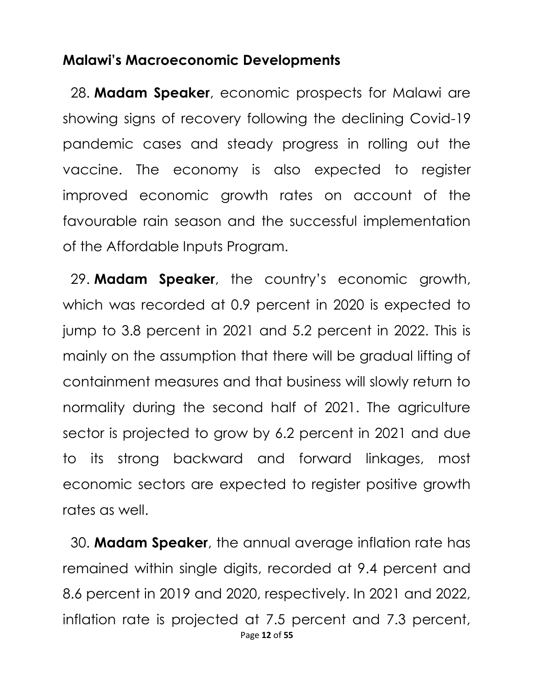#### **Malawi's Macroeconomic Developments**

28. **Madam Speaker**, economic prospects for Malawi are showing signs of recovery following the declining Covid-19 pandemic cases and steady progress in rolling out the vaccine. The economy is also expected to register improved economic growth rates on account of the favourable rain season and the successful implementation of the Affordable Inputs Program.

29. **Madam Speaker**, the country's economic growth, which was recorded at 0.9 percent in 2020 is expected to jump to 3.8 percent in 2021 and 5.2 percent in 2022. This is mainly on the assumption that there will be gradual lifting of containment measures and that business will slowly return to normality during the second half of 2021. The agriculture sector is projected to grow by 6.2 percent in 2021 and due to its strong backward and forward linkages, most economic sectors are expected to register positive growth rates as well.

Page **12** of **55** 30. **Madam Speaker**, the annual average inflation rate has remained within single digits, recorded at 9.4 percent and 8.6 percent in 2019 and 2020, respectively. In 2021 and 2022, inflation rate is projected at 7.5 percent and 7.3 percent,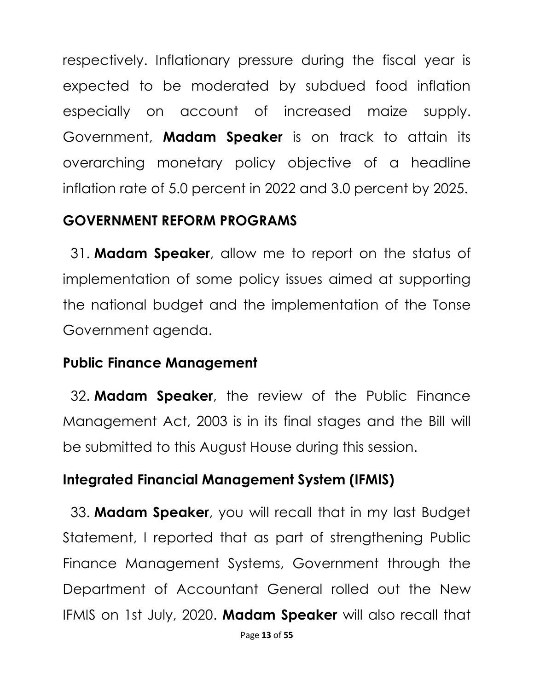respectively. Inflationary pressure during the fiscal year is expected to be moderated by subdued food inflation especially on account of increased maize supply. Government, **Madam Speaker** is on track to attain its overarching monetary policy objective of a headline inflation rate of 5.0 percent in 2022 and 3.0 percent by 2025.

#### **GOVERNMENT REFORM PROGRAMS**

31. **Madam Speaker**, allow me to report on the status of implementation of some policy issues aimed at supporting the national budget and the implementation of the Tonse Government agenda.

#### **Public Finance Management**

32. **Madam Speaker**, the review of the Public Finance Management Act, 2003 is in its final stages and the Bill will be submitted to this August House during this session.

## **Integrated Financial Management System (IFMIS)**

33. **Madam Speaker**, you will recall that in my last Budget Statement, I reported that as part of strengthening Public Finance Management Systems, Government through the Department of Accountant General rolled out the New IFMIS on 1st July, 2020. **Madam Speaker** will also recall that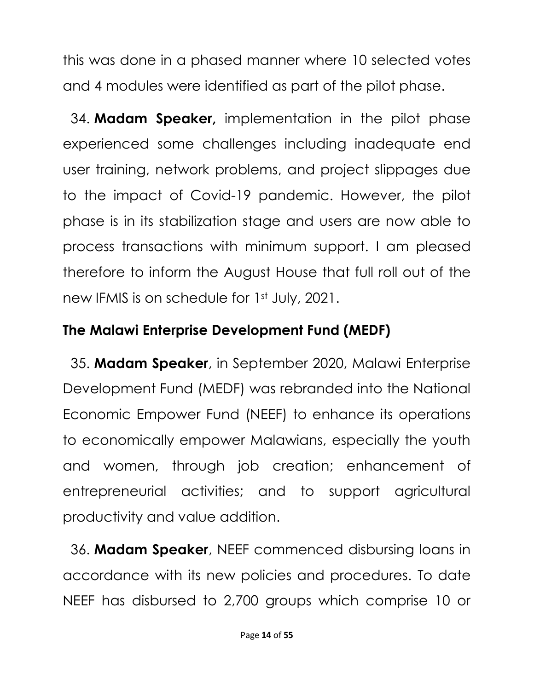this was done in a phased manner where 10 selected votes and 4 modules were identified as part of the pilot phase.

34. **Madam Speaker,** implementation in the pilot phase experienced some challenges including inadequate end user training, network problems, and project slippages due to the impact of Covid-19 pandemic. However, the pilot phase is in its stabilization stage and users are now able to process transactions with minimum support. I am pleased therefore to inform the August House that full roll out of the new IFMIS is on schedule for 1st July, 2021.

## **The Malawi Enterprise Development Fund (MEDF)**

35. **Madam Speaker**, in September 2020, Malawi Enterprise Development Fund (MEDF) was rebranded into the National Economic Empower Fund (NEEF) to enhance its operations to economically empower Malawians, especially the youth and women, through job creation; enhancement of entrepreneurial activities; and to support agricultural productivity and value addition.

36. **Madam Speaker**, NEEF commenced disbursing loans in accordance with its new policies and procedures. To date NEEF has disbursed to 2,700 groups which comprise 10 or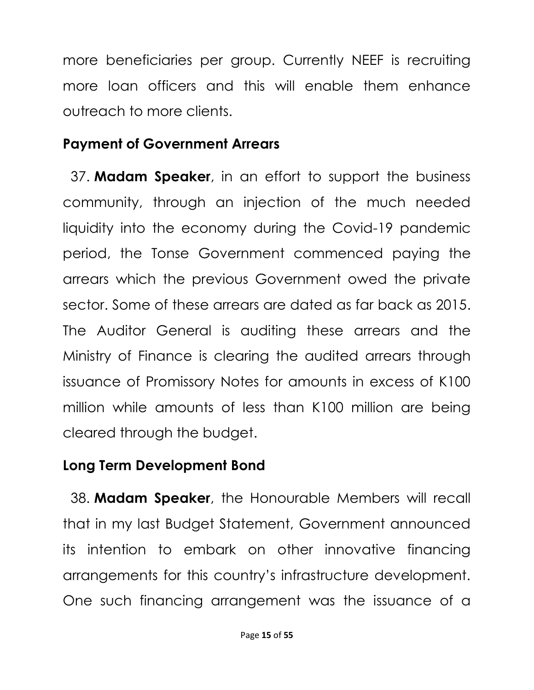more beneficiaries per group. Currently NEEF is recruiting more loan officers and this will enable them enhance outreach to more clients.

#### **Payment of Government Arrears**

37. **Madam Speaker**, in an effort to support the business community, through an injection of the much needed liquidity into the economy during the Covid-19 pandemic period, the Tonse Government commenced paying the arrears which the previous Government owed the private sector. Some of these arrears are dated as far back as 2015. The Auditor General is auditing these arrears and the Ministry of Finance is clearing the audited arrears through issuance of Promissory Notes for amounts in excess of K100 million while amounts of less than K100 million are being cleared through the budget.

#### **Long Term Development Bond**

38. **Madam Speaker**, the Honourable Members will recall that in my last Budget Statement, Government announced its intention to embark on other innovative financing arrangements for this country's infrastructure development. One such financing arrangement was the issuance of a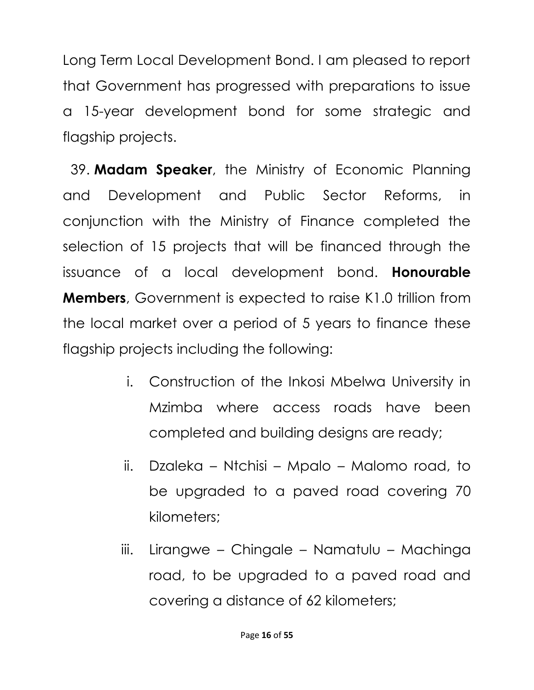Long Term Local Development Bond. I am pleased to report that Government has progressed with preparations to issue a 15-year development bond for some strategic and flagship projects.

39. **Madam Speaker**, the Ministry of Economic Planning and Development and Public Sector Reforms, in conjunction with the Ministry of Finance completed the selection of 15 projects that will be financed through the issuance of a local development bond. **Honourable Members**, Government is expected to raise K1.0 trillion from the local market over a period of 5 years to finance these flagship projects including the following:

- i. Construction of the Inkosi Mbelwa University in Mzimba where access roads have been completed and building designs are ready;
- ii. Dzaleka Ntchisi Mpalo Malomo road, to be upgraded to a paved road covering 70 kilometers;
- iii. Lirangwe Chingale Namatulu Machinga road, to be upgraded to a paved road and covering a distance of 62 kilometers;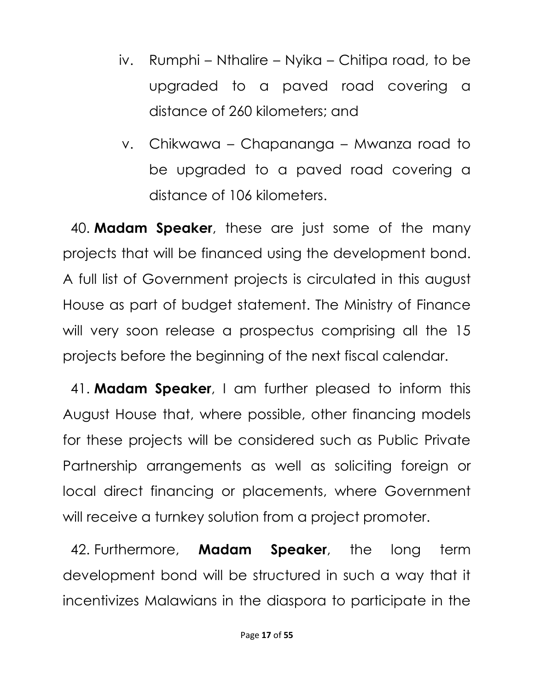- iv. Rumphi Nthalire Nyika Chitipa road, to be upgraded to a paved road covering a distance of 260 kilometers; and
- v. Chikwawa Chapananga Mwanza road to be upgraded to a paved road covering a distance of 106 kilometers.

40. **Madam Speaker**, these are just some of the many projects that will be financed using the development bond. A full list of Government projects is circulated in this august House as part of budget statement. The Ministry of Finance will very soon release a prospectus comprising all the 15 projects before the beginning of the next fiscal calendar.

41. **Madam Speaker**, I am further pleased to inform this August House that, where possible, other financing models for these projects will be considered such as Public Private Partnership arrangements as well as soliciting foreign or local direct financing or placements, where Government will receive a turnkey solution from a project promoter.

42. Furthermore, **Madam Speaker**, the long term development bond will be structured in such a way that it incentivizes Malawians in the diaspora to participate in the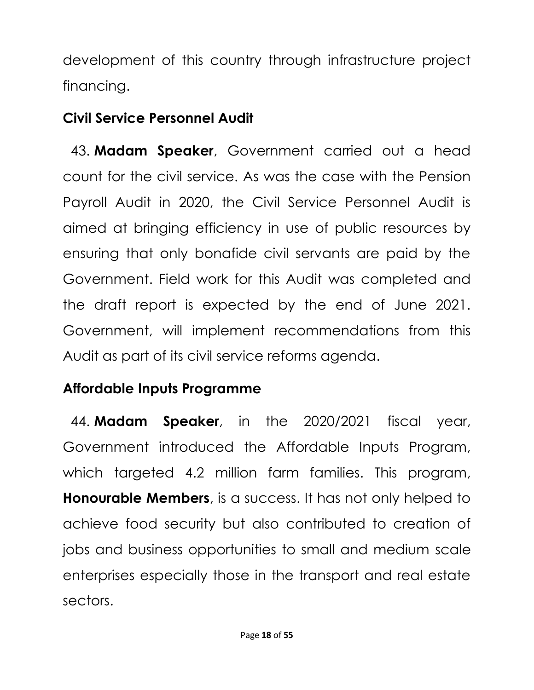development of this country through infrastructure project financing.

## **Civil Service Personnel Audit**

43. **Madam Speaker**, Government carried out a head count for the civil service. As was the case with the Pension Payroll Audit in 2020, the Civil Service Personnel Audit is aimed at bringing efficiency in use of public resources by ensuring that only bonafide civil servants are paid by the Government. Field work for this Audit was completed and the draft report is expected by the end of June 2021. Government, will implement recommendations from this Audit as part of its civil service reforms agenda.

# **Affordable Inputs Programme**

44. **Madam Speaker**, in the 2020/2021 fiscal year, Government introduced the Affordable Inputs Program, which targeted 4.2 million farm families. This program, **Honourable Members**, is a success. It has not only helped to achieve food security but also contributed to creation of jobs and business opportunities to small and medium scale enterprises especially those in the transport and real estate sectors.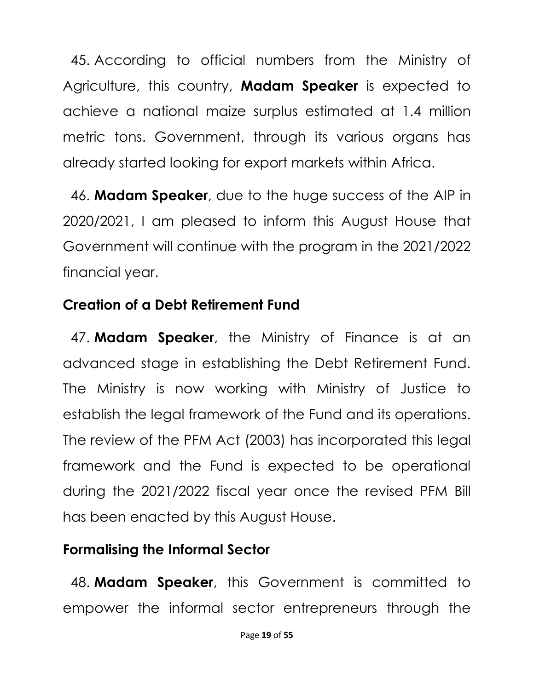45. According to official numbers from the Ministry of Agriculture, this country, **Madam Speaker** is expected to achieve a national maize surplus estimated at 1.4 million metric tons. Government, through its various organs has already started looking for export markets within Africa.

46. **Madam Speaker**, due to the huge success of the AIP in 2020/2021, I am pleased to inform this August House that Government will continue with the program in the 2021/2022 financial year.

## **Creation of a Debt Retirement Fund**

47. **Madam Speaker**, the Ministry of Finance is at an advanced stage in establishing the Debt Retirement Fund. The Ministry is now working with Ministry of Justice to establish the legal framework of the Fund and its operations. The review of the PFM Act (2003) has incorporated this legal framework and the Fund is expected to be operational during the 2021/2022 fiscal year once the revised PFM Bill has been enacted by this August House.

## **Formalising the Informal Sector**

48. **Madam Speaker**, this Government is committed to empower the informal sector entrepreneurs through the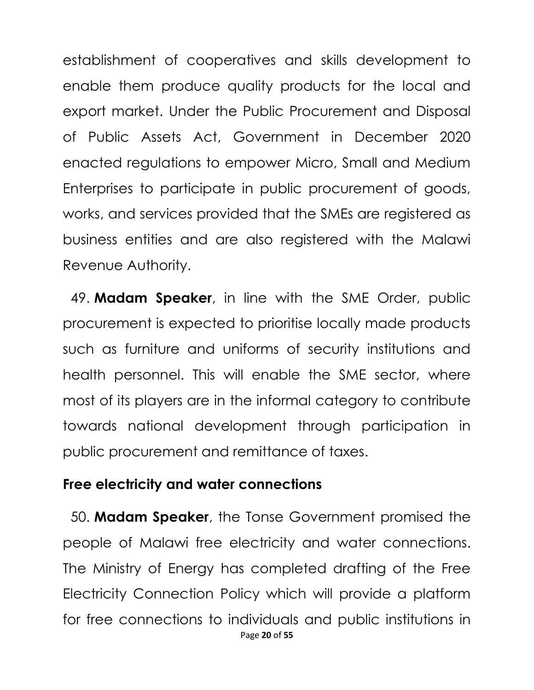establishment of cooperatives and skills development to enable them produce quality products for the local and export market. Under the Public Procurement and Disposal of Public Assets Act, Government in December 2020 enacted regulations to empower Micro, Small and Medium Enterprises to participate in public procurement of goods, works, and services provided that the SMEs are registered as business entities and are also registered with the Malawi Revenue Authority.

49. **Madam Speaker**, in line with the SME Order, public procurement is expected to prioritise locally made products such as furniture and uniforms of security institutions and health personnel. This will enable the SME sector, where most of its players are in the informal category to contribute towards national development through participation in public procurement and remittance of taxes.

#### **Free electricity and water connections**

Page **20** of **55** 50. **Madam Speaker**, the Tonse Government promised the people of Malawi free electricity and water connections. The Ministry of Energy has completed drafting of the Free Electricity Connection Policy which will provide a platform for free connections to individuals and public institutions in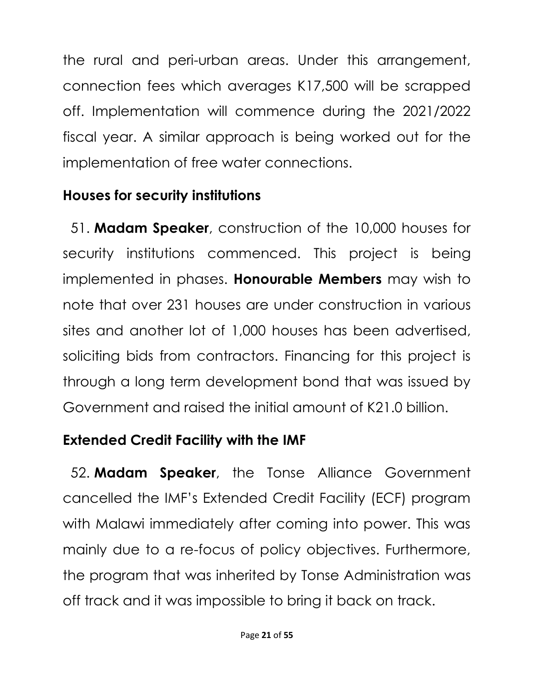the rural and peri-urban areas. Under this arrangement, connection fees which averages K17,500 will be scrapped off. Implementation will commence during the 2021/2022 fiscal year. A similar approach is being worked out for the implementation of free water connections.

## **Houses for security institutions**

51. **Madam Speaker**, construction of the 10,000 houses for security institutions commenced. This project is being implemented in phases. **Honourable Members** may wish to note that over 231 houses are under construction in various sites and another lot of 1,000 houses has been advertised, soliciting bids from contractors. Financing for this project is through a long term development bond that was issued by Government and raised the initial amount of K21.0 billion.

#### **Extended Credit Facility with the IMF**

52. **Madam Speaker**, the Tonse Alliance Government cancelled the IMF's Extended Credit Facility (ECF) program with Malawi immediately after coming into power. This was mainly due to a re-focus of policy objectives. Furthermore, the program that was inherited by Tonse Administration was off track and it was impossible to bring it back on track.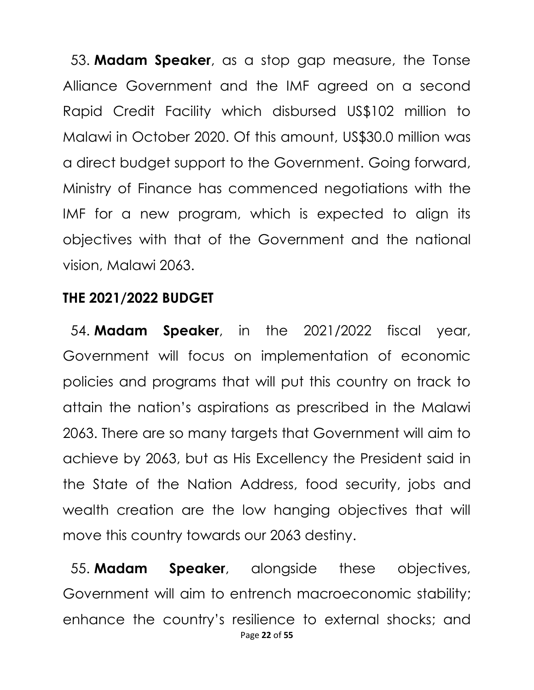53. **Madam Speaker**, as a stop gap measure, the Tonse Alliance Government and the IMF agreed on a second Rapid Credit Facility which disbursed US\$102 million to Malawi in October 2020. Of this amount, US\$30.0 million was a direct budget support to the Government. Going forward, Ministry of Finance has commenced negotiations with the IMF for a new program, which is expected to align its objectives with that of the Government and the national vision, Malawi 2063.

#### **THE 2021/2022 BUDGET**

54. **Madam Speaker**, in the 2021/2022 fiscal year, Government will focus on implementation of economic policies and programs that will put this country on track to attain the nation's aspirations as prescribed in the Malawi 2063. There are so many targets that Government will aim to achieve by 2063, but as His Excellency the President said in the State of the Nation Address, food security, jobs and wealth creation are the low hanging objectives that will move this country towards our 2063 destiny.

Page **22** of **55** 55. **Madam Speaker**, alongside these objectives, Government will aim to entrench macroeconomic stability; enhance the country's resilience to external shocks; and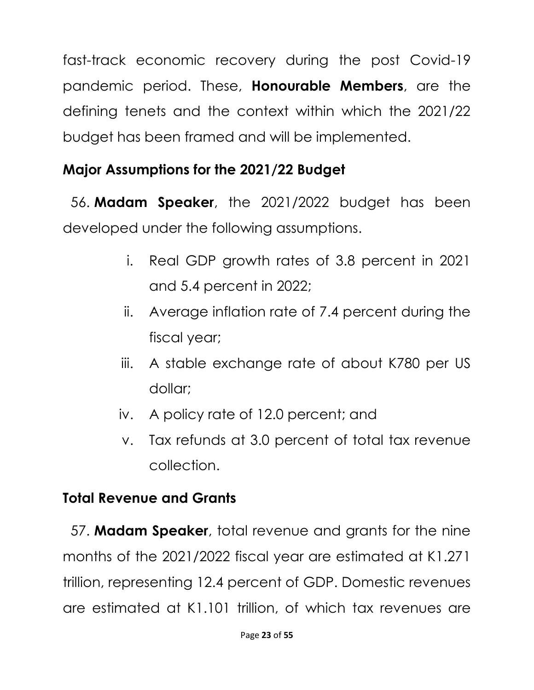fast-track economic recovery during the post Covid-19 pandemic period. These, **Honourable Members**, are the defining tenets and the context within which the 2021/22 budget has been framed and will be implemented.

# **Major Assumptions for the 2021/22 Budget**

56. **Madam Speaker**, the 2021/2022 budget has been developed under the following assumptions.

- i. Real GDP growth rates of 3.8 percent in 2021 and 5.4 percent in 2022;
- ii. Average inflation rate of 7.4 percent during the fiscal year;
- iii. A stable exchange rate of about K780 per US dollar;
- iv. A policy rate of 12.0 percent; and
- v. Tax refunds at 3.0 percent of total tax revenue collection.

# **Total Revenue and Grants**

57. **Madam Speaker**, total revenue and grants for the nine months of the 2021/2022 fiscal year are estimated at K1.271 trillion, representing 12.4 percent of GDP. Domestic revenues are estimated at K1.101 trillion, of which tax revenues are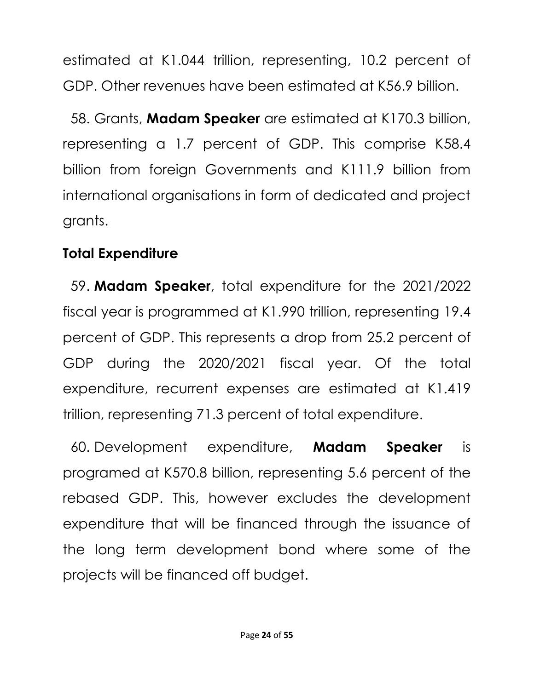estimated at K1.044 trillion, representing, 10.2 percent of GDP. Other revenues have been estimated at K56.9 billion.

58. Grants, **Madam Speaker** are estimated at K170.3 billion, representing a 1.7 percent of GDP. This comprise K58.4 billion from foreign Governments and K111.9 billion from international organisations in form of dedicated and project grants.

#### **Total Expenditure**

59. **Madam Speaker**, total expenditure for the 2021/2022 fiscal year is programmed at K1.990 trillion, representing 19.4 percent of GDP. This represents a drop from 25.2 percent of GDP during the 2020/2021 fiscal year. Of the total expenditure, recurrent expenses are estimated at K1.419 trillion, representing 71.3 percent of total expenditure.

60. Development expenditure, **Madam Speaker** is programed at K570.8 billion, representing 5.6 percent of the rebased GDP. This, however excludes the development expenditure that will be financed through the issuance of the long term development bond where some of the projects will be financed off budget.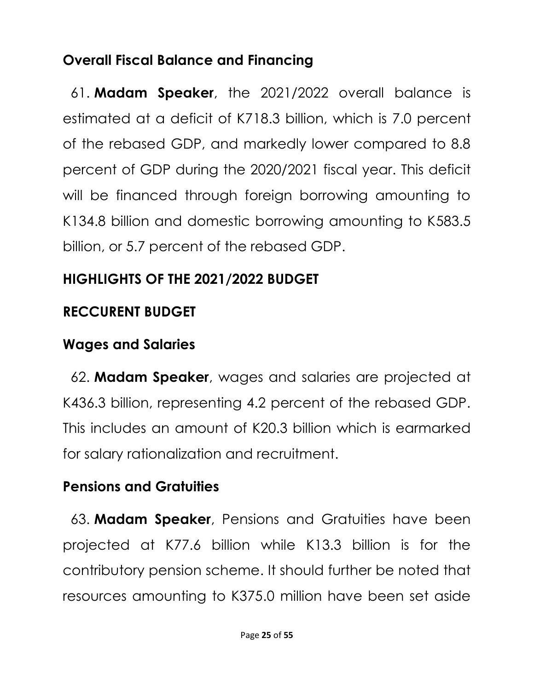# **Overall Fiscal Balance and Financing**

61. **Madam Speaker**, the 2021/2022 overall balance is estimated at a deficit of K718.3 billion, which is 7.0 percent of the rebased GDP, and markedly lower compared to 8.8 percent of GDP during the 2020/2021 fiscal year. This deficit will be financed through foreign borrowing amounting to K134.8 billion and domestic borrowing amounting to K583.5 billion, or 5.7 percent of the rebased GDP.

# **HIGHLIGHTS OF THE 2021/2022 BUDGET**

## **RECCURENT BUDGET**

## **Wages and Salaries**

62. **Madam Speaker**, wages and salaries are projected at K436.3 billion, representing 4.2 percent of the rebased GDP. This includes an amount of K20.3 billion which is earmarked for salary rationalization and recruitment.

# **Pensions and Gratuities**

63. **Madam Speaker**, Pensions and Gratuities have been projected at K77.6 billion while K13.3 billion is for the contributory pension scheme. It should further be noted that resources amounting to K375.0 million have been set aside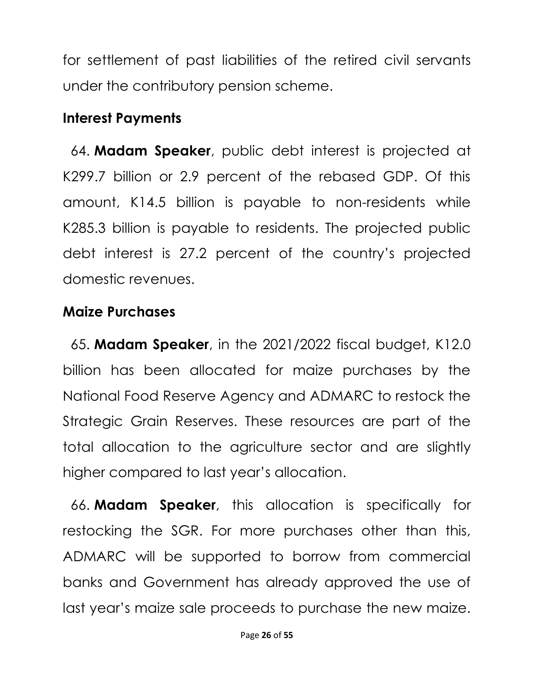for settlement of past liabilities of the retired civil servants under the contributory pension scheme.

#### **Interest Payments**

64. **Madam Speaker**, public debt interest is projected at K299.7 billion or 2.9 percent of the rebased GDP. Of this amount, K14.5 billion is payable to non-residents while K285.3 billion is payable to residents. The projected public debt interest is 27.2 percent of the country's projected domestic revenues.

#### **Maize Purchases**

65. **Madam Speaker**, in the 2021/2022 fiscal budget, K12.0 billion has been allocated for maize purchases by the National Food Reserve Agency and ADMARC to restock the Strategic Grain Reserves. These resources are part of the total allocation to the agriculture sector and are slightly higher compared to last year's allocation.

66. **Madam Speaker**, this allocation is specifically for restocking the SGR. For more purchases other than this, ADMARC will be supported to borrow from commercial banks and Government has already approved the use of last year's maize sale proceeds to purchase the new maize.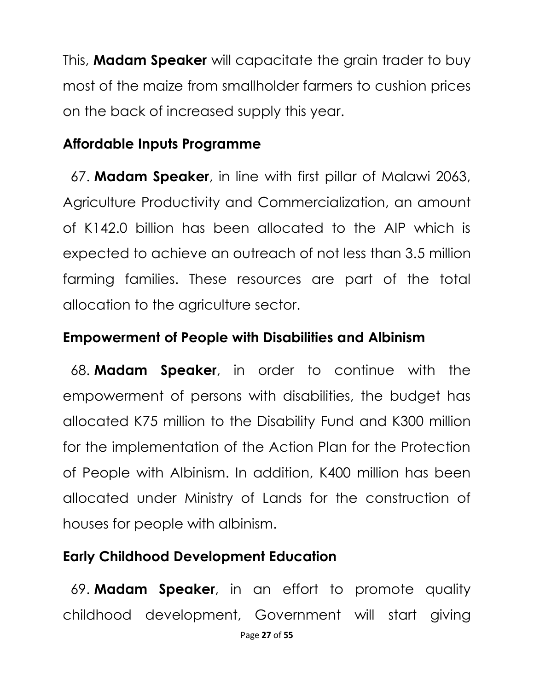This, **Madam Speaker** will capacitate the grain trader to buy most of the maize from smallholder farmers to cushion prices on the back of increased supply this year.

## **Affordable Inputs Programme**

67. **Madam Speaker**, in line with first pillar of Malawi 2063, Agriculture Productivity and Commercialization, an amount of K142.0 billion has been allocated to the AIP which is expected to achieve an outreach of not less than 3.5 million farming families. These resources are part of the total allocation to the agriculture sector.

#### **Empowerment of People with Disabilities and Albinism**

68. **Madam Speaker**, in order to continue with the empowerment of persons with disabilities, the budget has allocated K75 million to the Disability Fund and K300 million for the implementation of the Action Plan for the Protection of People with Albinism. In addition, K400 million has been allocated under Ministry of Lands for the construction of houses for people with albinism.

# **Early Childhood Development Education**

69. **Madam Speaker**, in an effort to promote quality childhood development, Government will start giving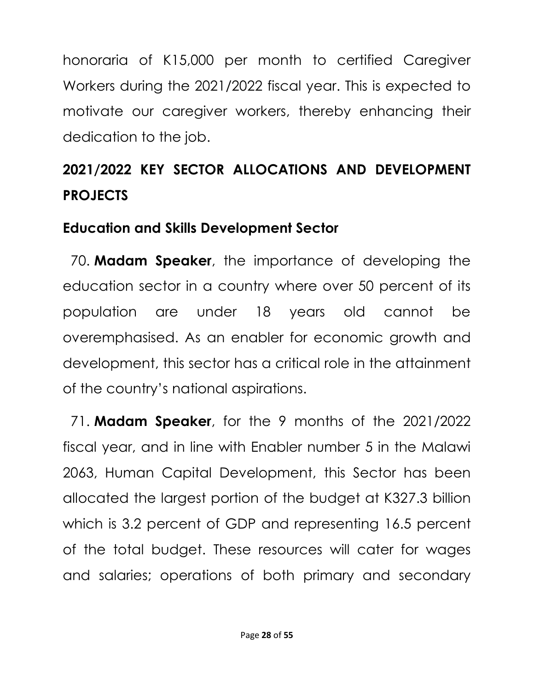honoraria of K15,000 per month to certified Caregiver Workers during the 2021/2022 fiscal year. This is expected to motivate our caregiver workers, thereby enhancing their dedication to the job.

# **2021/2022 KEY SECTOR ALLOCATIONS AND DEVELOPMENT PROJECTS**

## **Education and Skills Development Sector**

70. **Madam Speaker**, the importance of developing the education sector in a country where over 50 percent of its population are under 18 years old cannot be overemphasised. As an enabler for economic growth and development, this sector has a critical role in the attainment of the country's national aspirations.

71. **Madam Speaker**, for the 9 months of the 2021/2022 fiscal year, and in line with Enabler number 5 in the Malawi 2063, Human Capital Development, this Sector has been allocated the largest portion of the budget at K327.3 billion which is 3.2 percent of GDP and representing 16.5 percent of the total budget. These resources will cater for wages and salaries; operations of both primary and secondary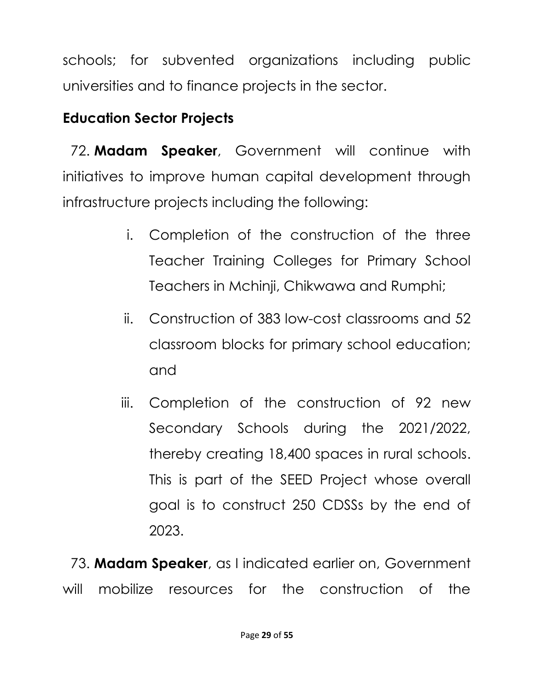schools; for subvented organizations including public universities and to finance projects in the sector.

# **Education Sector Projects**

72. **Madam Speaker**, Government will continue with initiatives to improve human capital development through infrastructure projects including the following:

- i. Completion of the construction of the three Teacher Training Colleges for Primary School Teachers in Mchinji, Chikwawa and Rumphi;
- ii. Construction of 383 low-cost classrooms and 52 classroom blocks for primary school education; and
- iii. Completion of the construction of 92 new Secondary Schools during the 2021/2022, thereby creating 18,400 spaces in rural schools. This is part of the SEED Project whose overall goal is to construct 250 CDSSs by the end of 2023.

73. **Madam Speaker**, as I indicated earlier on, Government will mobilize resources for the construction of the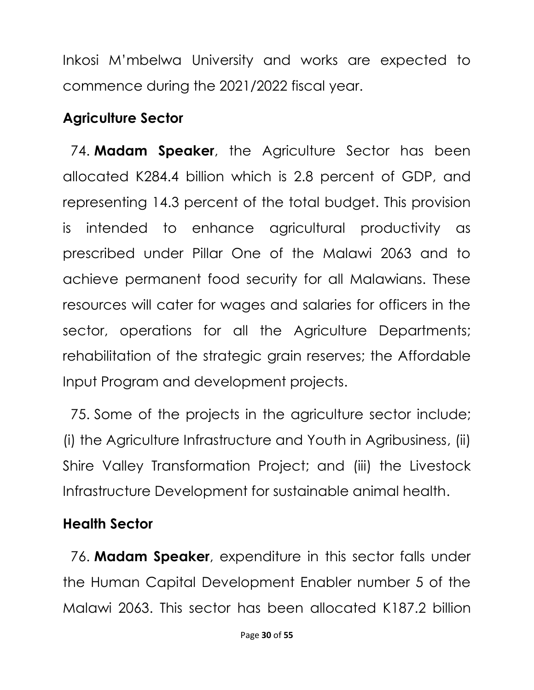Inkosi M'mbelwa University and works are expected to commence during the 2021/2022 fiscal year.

## **Agriculture Sector**

74. **Madam Speaker**, the Agriculture Sector has been allocated K284.4 billion which is 2.8 percent of GDP, and representing 14.3 percent of the total budget. This provision is intended to enhance agricultural productivity as prescribed under Pillar One of the Malawi 2063 and to achieve permanent food security for all Malawians. These resources will cater for wages and salaries for officers in the sector, operations for all the Agriculture Departments; rehabilitation of the strategic grain reserves; the Affordable Input Program and development projects.

75. Some of the projects in the agriculture sector include; (i) the Agriculture Infrastructure and Youth in Agribusiness, (ii) Shire Valley Transformation Project; and (iii) the Livestock Infrastructure Development for sustainable animal health.

# **Health Sector**

76. **Madam Speaker**, expenditure in this sector falls under the Human Capital Development Enabler number 5 of the Malawi 2063. This sector has been allocated K187.2 billion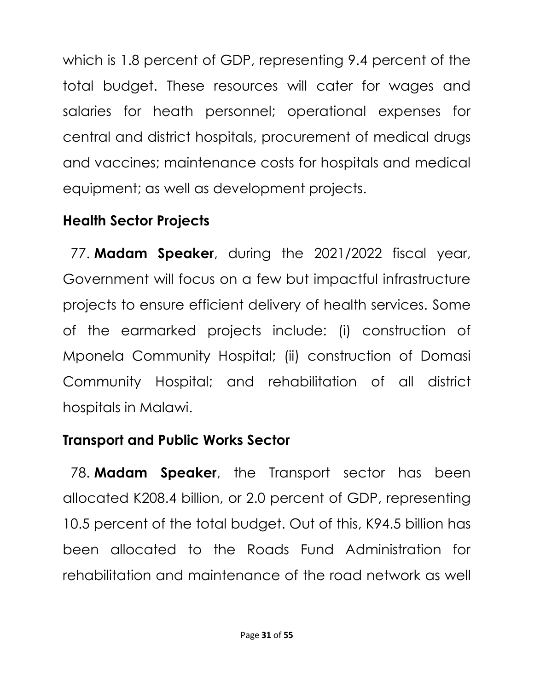which is 1.8 percent of GDP, representing 9.4 percent of the total budget. These resources will cater for wages and salaries for heath personnel; operational expenses for central and district hospitals, procurement of medical drugs and vaccines; maintenance costs for hospitals and medical equipment; as well as development projects.

# **Health Sector Projects**

77. **Madam Speaker**, during the 2021/2022 fiscal year, Government will focus on a few but impactful infrastructure projects to ensure efficient delivery of health services. Some of the earmarked projects include: (i) construction of Mponela Community Hospital; (ii) construction of Domasi Community Hospital; and rehabilitation of all district hospitals in Malawi.

# **Transport and Public Works Sector**

78. **Madam Speaker**, the Transport sector has been allocated K208.4 billion, or 2.0 percent of GDP, representing 10.5 percent of the total budget. Out of this, K94.5 billion has been allocated to the Roads Fund Administration for rehabilitation and maintenance of the road network as well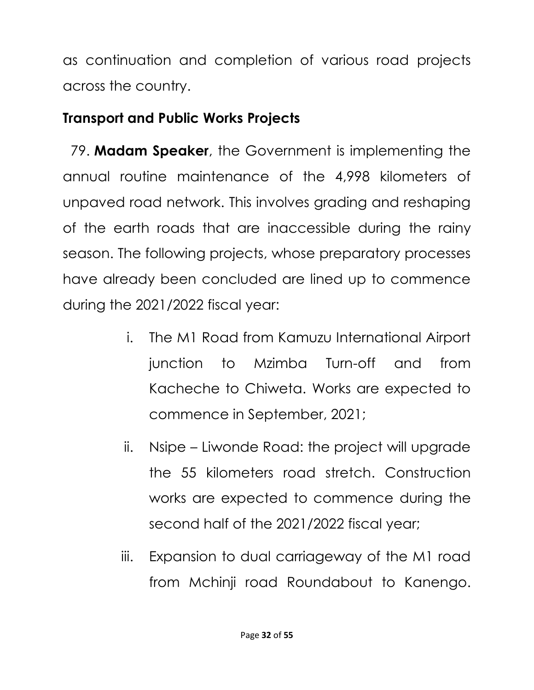as continuation and completion of various road projects across the country.

# **Transport and Public Works Projects**

79. **Madam Speaker**, the Government is implementing the annual routine maintenance of the 4,998 kilometers of unpaved road network. This involves grading and reshaping of the earth roads that are inaccessible during the rainy season. The following projects, whose preparatory processes have already been concluded are lined up to commence during the 2021/2022 fiscal year:

- i. The M1 Road from Kamuzu International Airport junction to Mzimba Turn-off and from Kacheche to Chiweta. Works are expected to commence in September, 2021;
- ii. Nsipe Liwonde Road: the project will upgrade the 55 kilometers road stretch. Construction works are expected to commence during the second half of the 2021/2022 fiscal year;
- iii. Expansion to dual carriageway of the M1 road from Mchinji road Roundabout to Kanengo.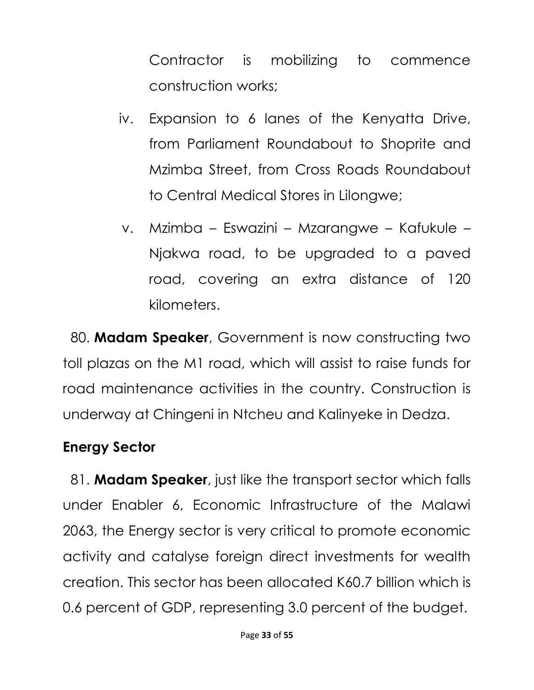Contractor is mobilizing to commence construction works;

- iv. Expansion to 6 lanes of the Kenyatta Drive, from Parliament Roundabout to Shoprite and Mzimba Street, from Cross Roads Roundabout to Central Medical Stores in Lilongwe;
- v. Mzimba Eswazini Mzarangwe Kafukule Njakwa road, to be upgraded to a paved road, covering an extra distance of 120 kilometers.

80. **Madam Speaker**, Government is now constructing two toll plazas on the M1 road, which will assist to raise funds for road maintenance activities in the country. Construction is underway at Chingeni in Ntcheu and Kalinyeke in Dedza.

#### **Energy Sector**

81. **Madam Speaker**, just like the transport sector which falls under Enabler 6, Economic Infrastructure of the Malawi 2063, the Energy sector is very critical to promote economic activity and catalyse foreign direct investments for wealth creation. This sector has been allocated K60.7 billion which is 0.6 percent of GDP, representing 3.0 percent of the budget.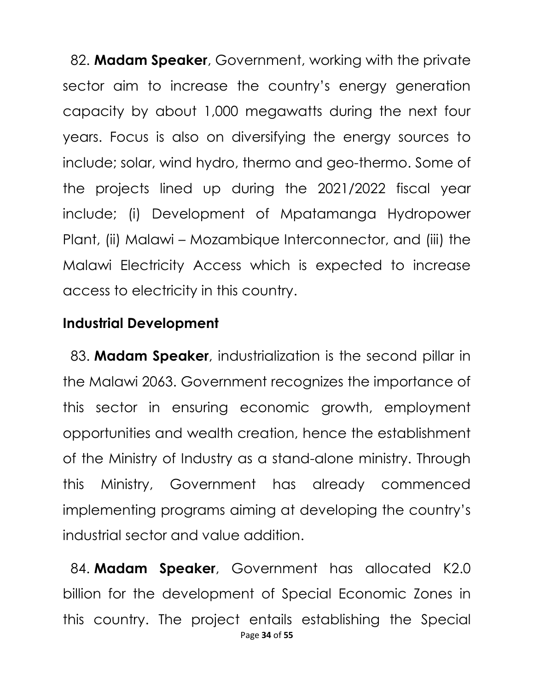82. **Madam Speaker**, Government, working with the private sector aim to increase the country's energy generation capacity by about 1,000 megawatts during the next four years. Focus is also on diversifying the energy sources to include; solar, wind hydro, thermo and geo-thermo. Some of the projects lined up during the 2021/2022 fiscal year include; (i) Development of Mpatamanga Hydropower Plant, (ii) Malawi – Mozambique Interconnector, and (iii) the Malawi Electricity Access which is expected to increase access to electricity in this country.

#### **Industrial Development**

83. **Madam Speaker**, industrialization is the second pillar in the Malawi 2063. Government recognizes the importance of this sector in ensuring economic growth, employment opportunities and wealth creation, hence the establishment of the Ministry of Industry as a stand-alone ministry. Through this Ministry, Government has already commenced implementing programs aiming at developing the country's industrial sector and value addition.

Page **34** of **55** 84. **Madam Speaker**, Government has allocated K2.0 billion for the development of Special Economic Zones in this country. The project entails establishing the Special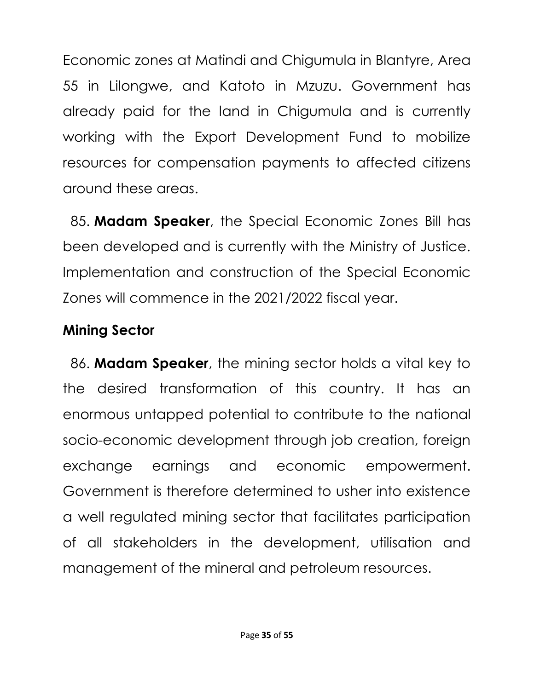Economic zones at Matindi and Chigumula in Blantyre, Area 55 in Lilongwe, and Katoto in Mzuzu. Government has already paid for the land in Chigumula and is currently working with the Export Development Fund to mobilize resources for compensation payments to affected citizens around these areas.

85. **Madam Speaker**, the Special Economic Zones Bill has been developed and is currently with the Ministry of Justice. Implementation and construction of the Special Economic Zones will commence in the 2021/2022 fiscal year.

# **Mining Sector**

86. **Madam Speaker**, the mining sector holds a vital key to the desired transformation of this country. It has an enormous untapped potential to contribute to the national socio-economic development through job creation, foreign exchange earnings and economic empowerment. Government is therefore determined to usher into existence a well regulated mining sector that facilitates participation of all stakeholders in the development, utilisation and management of the mineral and petroleum resources.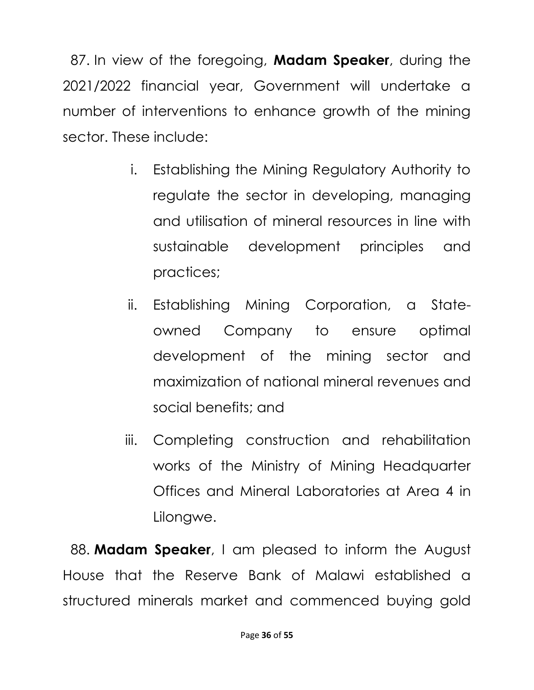87. In view of the foregoing, **Madam Speaker**, during the 2021/2022 financial year, Government will undertake a number of interventions to enhance growth of the mining sector. These include:

- i. Establishing the Mining Regulatory Authority to regulate the sector in developing, managing and utilisation of mineral resources in line with sustainable development principles and practices;
- ii. Establishing Mining Corporation, a Stateowned Company to ensure optimal development of the mining sector and maximization of national mineral revenues and social benefits; and
- iii. Completing construction and rehabilitation works of the Ministry of Mining Headquarter Offices and Mineral Laboratories at Area 4 in Lilongwe.

88. **Madam Speaker**, I am pleased to inform the August House that the Reserve Bank of Malawi established a structured minerals market and commenced buying gold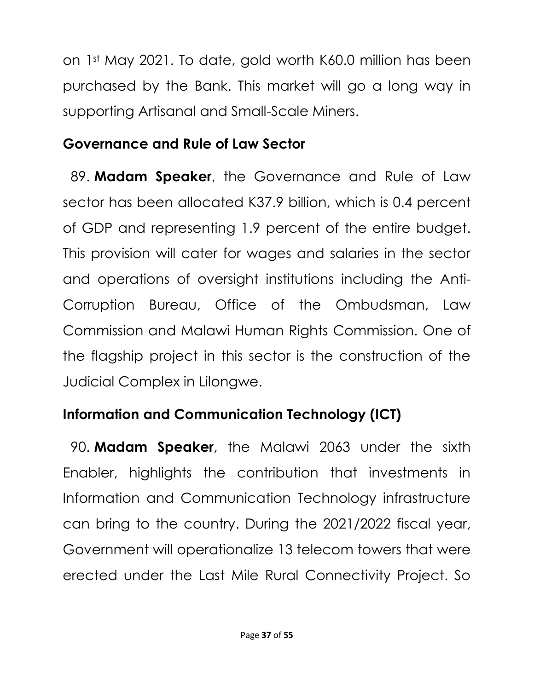on 1st May 2021. To date, gold worth K60.0 million has been purchased by the Bank. This market will go a long way in supporting Artisanal and Small-Scale Miners.

## **Governance and Rule of Law Sector**

89. **Madam Speaker**, the Governance and Rule of Law sector has been allocated K37.9 billion, which is 0.4 percent of GDP and representing 1.9 percent of the entire budget. This provision will cater for wages and salaries in the sector and operations of oversight institutions including the Anti-Corruption Bureau, Office of the Ombudsman, Law Commission and Malawi Human Rights Commission. One of the flagship project in this sector is the construction of the Judicial Complex in Lilongwe.

# **Information and Communication Technology (ICT)**

90. **Madam Speaker**, the Malawi 2063 under the sixth Enabler, highlights the contribution that investments in Information and Communication Technology infrastructure can bring to the country. During the 2021/2022 fiscal year, Government will operationalize 13 telecom towers that were erected under the Last Mile Rural Connectivity Project. So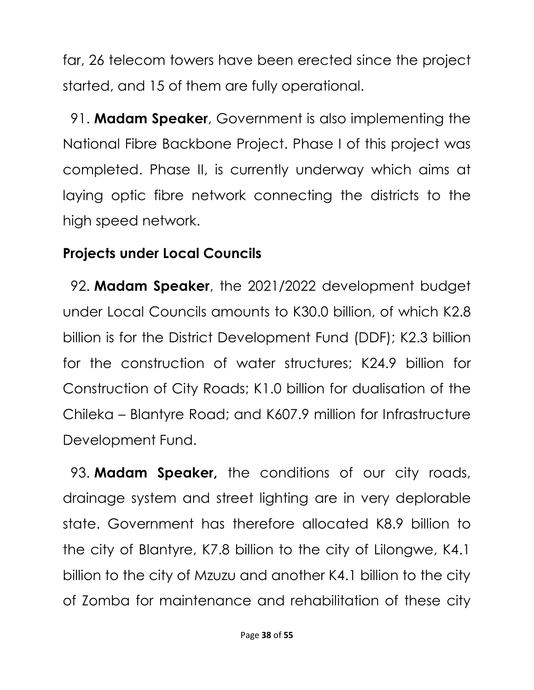far, 26 telecom towers have been erected since the project started, and 15 of them are fully operational.

91. **Madam Speaker**, Government is also implementing the National Fibre Backbone Project. Phase I of this project was completed. Phase II, is currently underway which aims at laying optic fibre network connecting the districts to the high speed network.

#### **Projects under Local Councils**

92. **Madam Speaker**, the 2021/2022 development budget under Local Councils amounts to K30.0 billion, of which K2.8 billion is for the District Development Fund (DDF); K2.3 billion for the construction of water structures; K24.9 billion for Construction of City Roads; K1.0 billion for dualisation of the Chileka – Blantyre Road; and K607.9 million for Infrastructure Development Fund.

93. **Madam Speaker,** the conditions of our city roads, drainage system and street lighting are in very deplorable state. Government has therefore allocated K8.9 billion to the city of Blantyre, K7.8 billion to the city of Lilongwe, K4.1 billion to the city of Mzuzu and another K4.1 billion to the city of Zomba for maintenance and rehabilitation of these city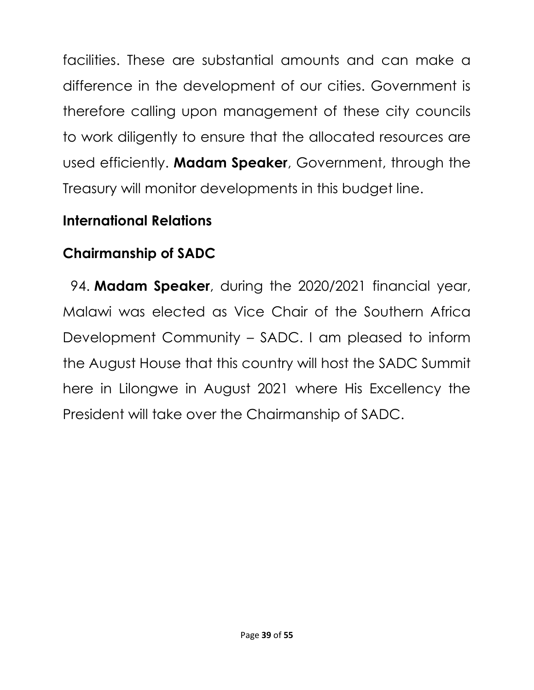facilities. These are substantial amounts and can make a difference in the development of our cities. Government is therefore calling upon management of these city councils to work diligently to ensure that the allocated resources are used efficiently. **Madam Speaker**, Government, through the Treasury will monitor developments in this budget line.

## **International Relations**

# **Chairmanship of SADC**

94. **Madam Speaker**, during the 2020/2021 financial year, Malawi was elected as Vice Chair of the Southern Africa Development Community – SADC. I am pleased to inform the August House that this country will host the SADC Summit here in Lilongwe in August 2021 where His Excellency the President will take over the Chairmanship of SADC.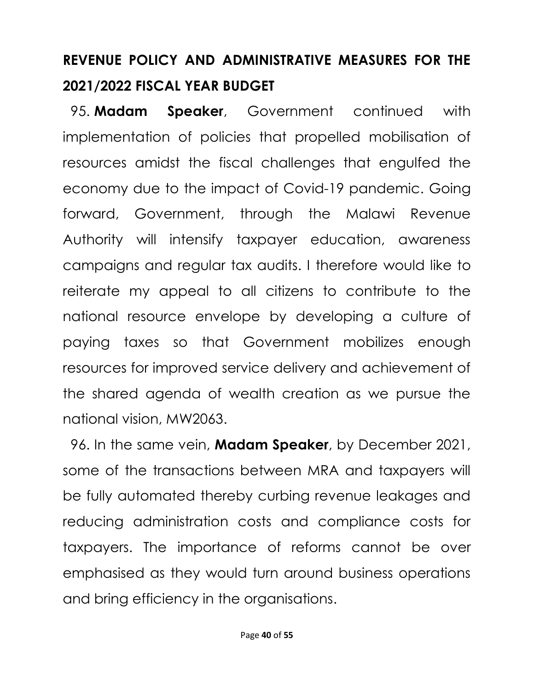# **REVENUE POLICY AND ADMINISTRATIVE MEASURES FOR THE 2021/2022 FISCAL YEAR BUDGET**

95. **Madam Speaker**, Government continued with implementation of policies that propelled mobilisation of resources amidst the fiscal challenges that engulfed the economy due to the impact of Covid-19 pandemic. Going forward, Government, through the Malawi Revenue Authority will intensify taxpayer education, awareness campaigns and regular tax audits. I therefore would like to reiterate my appeal to all citizens to contribute to the national resource envelope by developing a culture of paying taxes so that Government mobilizes enough resources for improved service delivery and achievement of the shared agenda of wealth creation as we pursue the national vision, MW2063.

96. In the same vein, **Madam Speaker**, by December 2021, some of the transactions between MRA and taxpayers will be fully automated thereby curbing revenue leakages and reducing administration costs and compliance costs for taxpayers. The importance of reforms cannot be over emphasised as they would turn around business operations and bring efficiency in the organisations.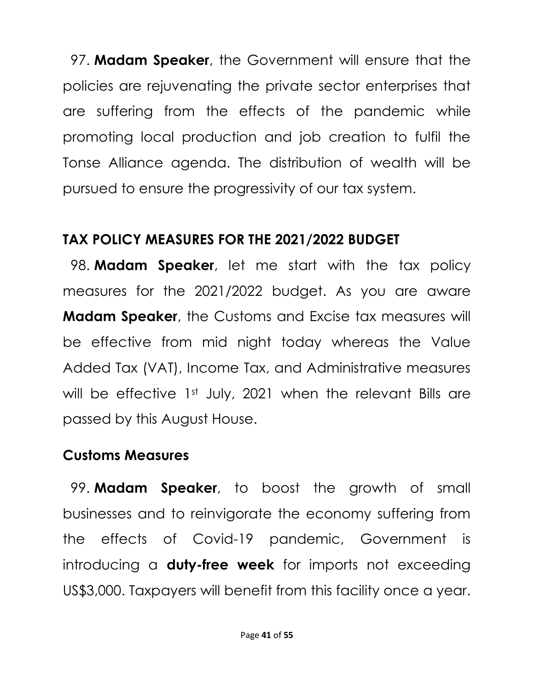97. **Madam Speaker**, the Government will ensure that the policies are rejuvenating the private sector enterprises that are suffering from the effects of the pandemic while promoting local production and job creation to fulfil the Tonse Alliance agenda. The distribution of wealth will be pursued to ensure the progressivity of our tax system.

#### **TAX POLICY MEASURES FOR THE 2021/2022 BUDGET**

98. **Madam Speaker**, let me start with the tax policy measures for the 2021/2022 budget. As you are aware **Madam Speaker**, the Customs and Excise tax measures will be effective from mid night today whereas the Value Added Tax (VAT), Income Tax, and Administrative measures will be effective 1st July, 2021 when the relevant Bills are passed by this August House.

## **Customs Measures**

99. **Madam Speaker**, to boost the growth of small businesses and to reinvigorate the economy suffering from the effects of Covid-19 pandemic, Government is introducing a **duty-free week** for imports not exceeding US\$3,000. Taxpayers will benefit from this facility once a year.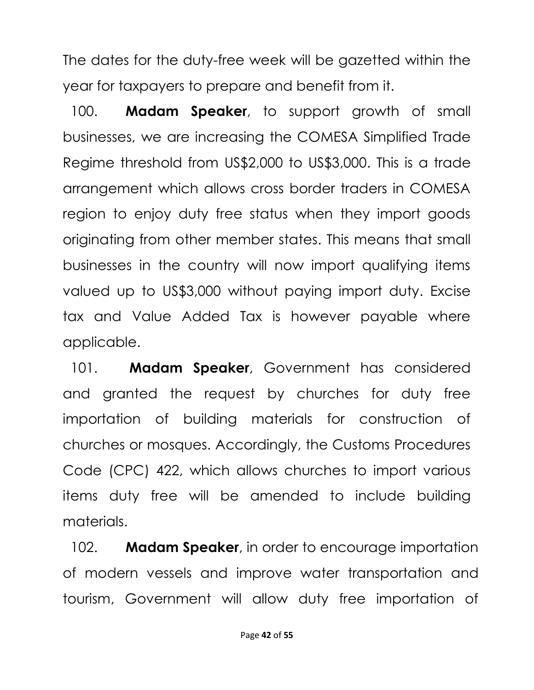The dates for the duty-free week will be gazetted within the year for taxpayers to prepare and benefit from it.

100. **Madam Speaker**, to support growth of small businesses, we are increasing the COMESA Simplified Trade Regime threshold from US\$2,000 to US\$3,000. This is a trade arrangement which allows cross border traders in COMESA region to enjoy duty free status when they import goods originating from other member states. This means that small businesses in the country will now import qualifying items valued up to US\$3,000 without paying import duty. Excise tax and Value Added Tax is however payable where applicable.

101. **Madam Speaker**, Government has considered and granted the request by churches for duty free importation of building materials for construction of churches or mosques. Accordingly, the Customs Procedures Code (CPC) 422, which allows churches to import various items duty free will be amended to include building materials.

102. **Madam Speaker**, in order to encourage importation of modern vessels and improve water transportation and tourism, Government will allow duty free importation of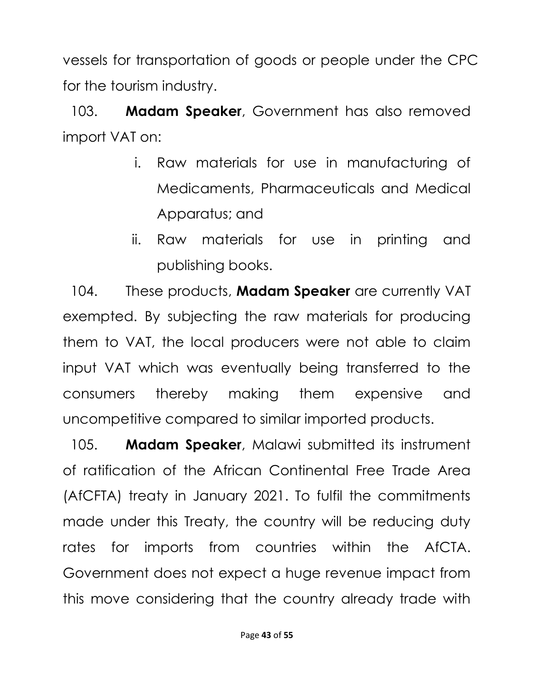vessels for transportation of goods or people under the CPC for the tourism industry.

103. **Madam Speaker**, Government has also removed import VAT on:

- i. Raw materials for use in manufacturing of Medicaments, Pharmaceuticals and Medical Apparatus; and
- ii. Raw materials for use in printing and publishing books.

104. These products, **Madam Speaker** are currently VAT exempted. By subjecting the raw materials for producing them to VAT, the local producers were not able to claim input VAT which was eventually being transferred to the consumers thereby making them expensive and uncompetitive compared to similar imported products.

105. **Madam Speaker**, Malawi submitted its instrument of ratification of the African Continental Free Trade Area (AfCFTA) treaty in January 2021. To fulfil the commitments made under this Treaty, the country will be reducing duty rates for imports from countries within the AfCTA. Government does not expect a huge revenue impact from this move considering that the country already trade with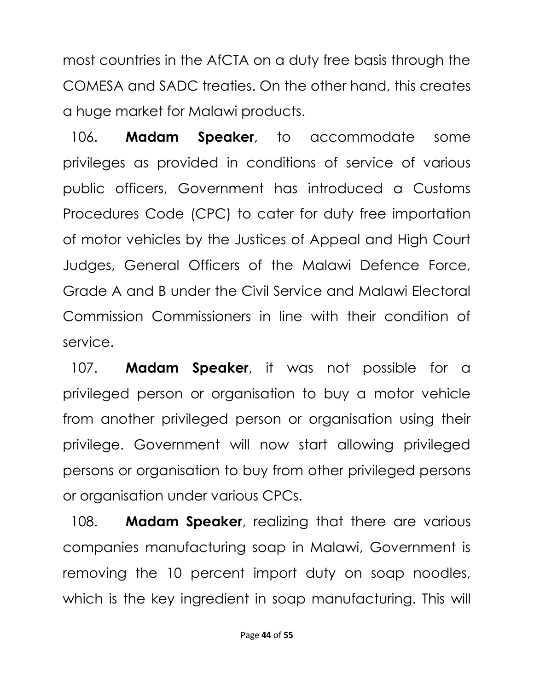most countries in the AfCTA on a duty free basis through the COMESA and SADC treaties. On the other hand, this creates a huge market for Malawi products.

106. **Madam Speaker**, to accommodate some privileges as provided in conditions of service of various public officers, Government has introduced a Customs Procedures Code (CPC) to cater for duty free importation of motor vehicles by the Justices of Appeal and High Court Judges, General Officers of the Malawi Defence Force, Grade A and B under the Civil Service and Malawi Electoral Commission Commissioners in line with their condition of service.

107. **Madam Speaker**, it was not possible for a privileged person or organisation to buy a motor vehicle from another privileged person or organisation using their privilege. Government will now start allowing privileged persons or organisation to buy from other privileged persons or organisation under various CPCs.

108. **Madam Speaker**, realizing that there are various companies manufacturing soap in Malawi, Government is removing the 10 percent import duty on soap noodles, which is the key ingredient in soap manufacturing. This will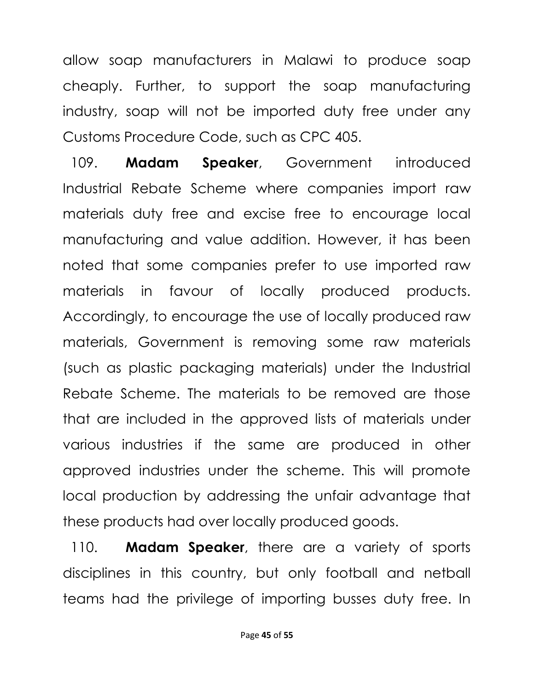allow soap manufacturers in Malawi to produce soap cheaply. Further, to support the soap manufacturing industry, soap will not be imported duty free under any Customs Procedure Code, such as CPC 405.

109. **Madam Speaker**, Government introduced Industrial Rebate Scheme where companies import raw materials duty free and excise free to encourage local manufacturing and value addition. However, it has been noted that some companies prefer to use imported raw materials in favour of locally produced products. Accordingly, to encourage the use of locally produced raw materials, Government is removing some raw materials (such as plastic packaging materials) under the Industrial Rebate Scheme. The materials to be removed are those that are included in the approved lists of materials under various industries if the same are produced in other approved industries under the scheme. This will promote local production by addressing the unfair advantage that these products had over locally produced goods.

110. **Madam Speaker**, there are a variety of sports disciplines in this country, but only football and netball teams had the privilege of importing busses duty free. In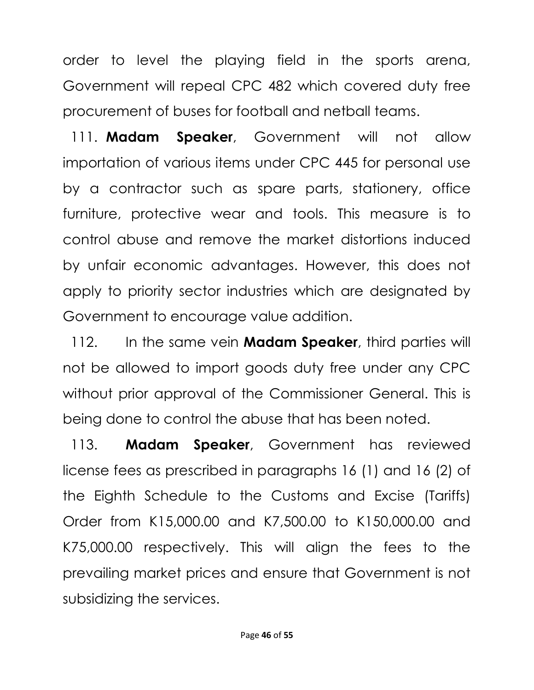order to level the playing field in the sports arena, Government will repeal CPC 482 which covered duty free procurement of buses for football and netball teams.

111. **Madam Speaker**, Government will not allow importation of various items under CPC 445 for personal use by a contractor such as spare parts, stationery, office furniture, protective wear and tools. This measure is to control abuse and remove the market distortions induced by unfair economic advantages. However, this does not apply to priority sector industries which are designated by Government to encourage value addition.

112. In the same vein **Madam Speaker**, third parties will not be allowed to import goods duty free under any CPC without prior approval of the Commissioner General. This is being done to control the abuse that has been noted.

113. **Madam Speaker**, Government has reviewed license fees as prescribed in paragraphs 16 (1) and 16 (2) of the Eighth Schedule to the Customs and Excise (Tariffs) Order from K15,000.00 and K7,500.00 to K150,000.00 and K75,000.00 respectively. This will align the fees to the prevailing market prices and ensure that Government is not subsidizing the services.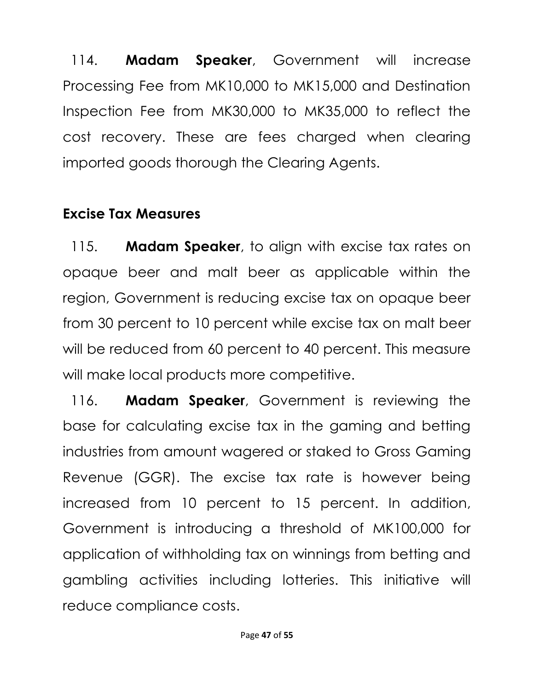114. **Madam Speaker**, Government will increase Processing Fee from MK10,000 to MK15,000 and Destination Inspection Fee from MK30,000 to MK35,000 to reflect the cost recovery. These are fees charged when clearing imported goods thorough the Clearing Agents.

#### **Excise Tax Measures**

115. **Madam Speaker**, to align with excise tax rates on opaque beer and malt beer as applicable within the region, Government is reducing excise tax on opaque beer from 30 percent to 10 percent while excise tax on malt beer will be reduced from 60 percent to 40 percent. This measure will make local products more competitive.

116. **Madam Speaker**, Government is reviewing the base for calculating excise tax in the gaming and betting industries from amount wagered or staked to Gross Gaming Revenue (GGR). The excise tax rate is however being increased from 10 percent to 15 percent. In addition, Government is introducing a threshold of MK100,000 for application of withholding tax on winnings from betting and gambling activities including lotteries. This initiative will reduce compliance costs.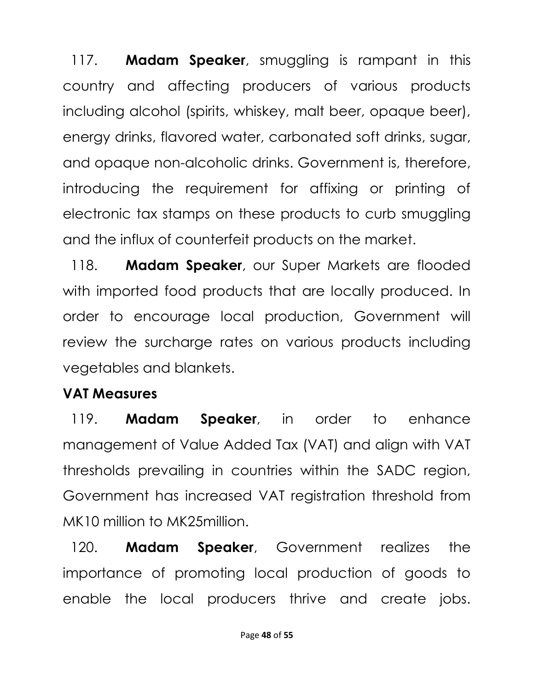117. **Madam Speaker**, smuggling is rampant in this country and affecting producers of various products including alcohol (spirits, whiskey, malt beer, opaque beer), energy drinks, flavored water, carbonated soft drinks, sugar, and opaque non-alcoholic drinks. Government is, therefore, introducing the requirement for affixing or printing of electronic tax stamps on these products to curb smuggling and the influx of counterfeit products on the market.

118. **Madam Speaker**, our Super Markets are flooded with imported food products that are locally produced. In order to encourage local production, Government will review the surcharge rates on various products including vegetables and blankets.

#### **VAT Measures**

119. **Madam Speaker**, in order to enhance management of Value Added Tax (VAT) and align with VAT thresholds prevailing in countries within the SADC region, Government has increased VAT registration threshold from MK10 million to MK25million.

120. **Madam Speaker**, Government realizes the importance of promoting local production of goods to enable the local producers thrive and create jobs.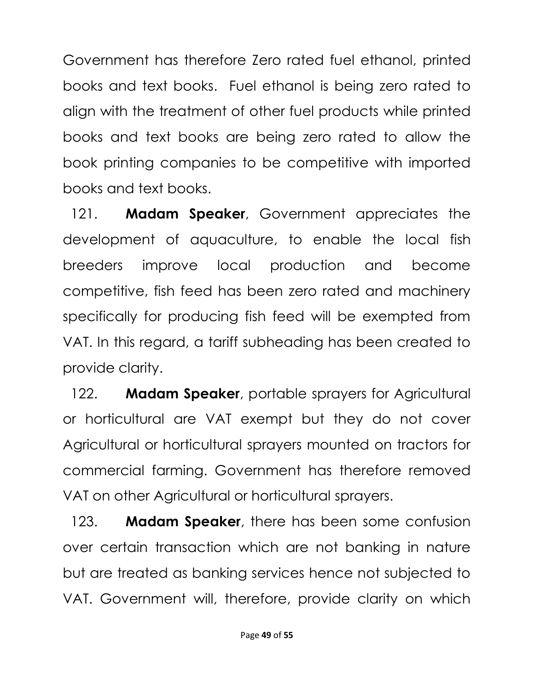Government has therefore Zero rated fuel ethanol, printed books and text books. Fuel ethanol is being zero rated to align with the treatment of other fuel products while printed books and text books are being zero rated to allow the book printing companies to be competitive with imported books and text books.

121. **Madam Speaker**, Government appreciates the development of aquaculture, to enable the local fish breeders improve local production and become competitive, fish feed has been zero rated and machinery specifically for producing fish feed will be exempted from VAT. In this regard, a tariff subheading has been created to provide clarity.

122. **Madam Speaker**, portable sprayers for Agricultural or horticultural are VAT exempt but they do not cover Agricultural or horticultural sprayers mounted on tractors for commercial farming. Government has therefore removed VAT on other Agricultural or horticultural sprayers.

123. **Madam Speaker**, there has been some confusion over certain transaction which are not banking in nature but are treated as banking services hence not subjected to VAT. Government will, therefore, provide clarity on which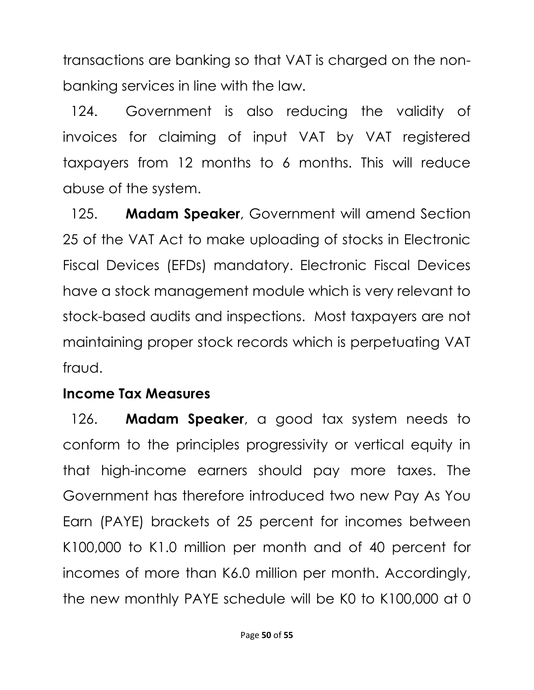transactions are banking so that VAT is charged on the nonbanking services in line with the law.

124. Government is also reducing the validity of invoices for claiming of input VAT by VAT registered taxpayers from 12 months to 6 months. This will reduce abuse of the system.

125. **Madam Speaker**, Government will amend Section 25 of the VAT Act to make uploading of stocks in Electronic Fiscal Devices (EFDs) mandatory. Electronic Fiscal Devices have a stock management module which is very relevant to stock-based audits and inspections. Most taxpayers are not maintaining proper stock records which is perpetuating VAT fraud.

#### **Income Tax Measures**

126. **Madam Speaker**, a good tax system needs to conform to the principles progressivity or vertical equity in that high-income earners should pay more taxes. The Government has therefore introduced two new Pay As You Earn (PAYE) brackets of 25 percent for incomes between K100,000 to K1.0 million per month and of 40 percent for incomes of more than K6.0 million per month. Accordingly, the new monthly PAYE schedule will be K0 to K100,000 at 0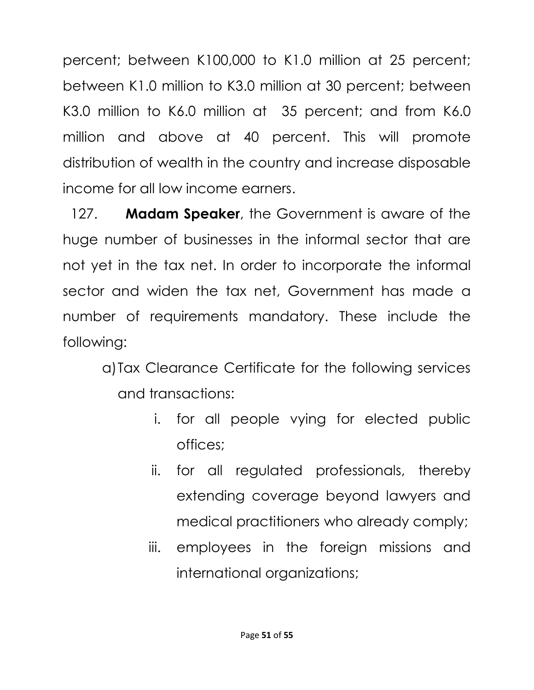percent; between K100,000 to K1.0 million at 25 percent; between K1.0 million to K3.0 million at 30 percent; between K3.0 million to K6.0 million at 35 percent; and from K6.0 million and above at 40 percent. This will promote distribution of wealth in the country and increase disposable income for all low income earners.

127. **Madam Speaker**, the Government is aware of the huge number of businesses in the informal sector that are not yet in the tax net. In order to incorporate the informal sector and widen the tax net, Government has made a number of requirements mandatory. These include the following:

a)Tax Clearance Certificate for the following services and transactions:

- i. for all people vying for elected public offices;
- ii. for all regulated professionals, thereby extending coverage beyond lawyers and medical practitioners who already comply;
- iii. employees in the foreign missions and international organizations;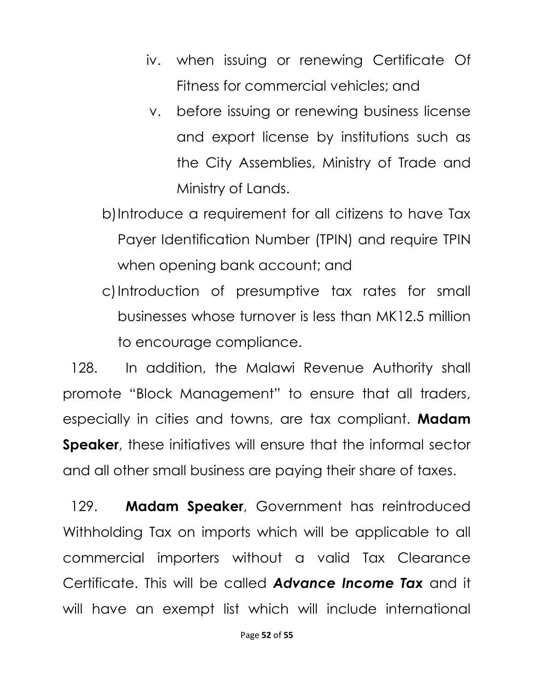- iv. when issuing or renewing Certificate Of Fitness for commercial vehicles; and
- v. before issuing or renewing business license and export license by institutions such as the City Assemblies, Ministry of Trade and Ministry of Lands.
- b)Introduce a requirement for all citizens to have Tax Payer Identification Number (TPIN) and require TPIN when opening bank account; and
- c)Introduction of presumptive tax rates for small businesses whose turnover is less than MK12.5 million to encourage compliance.

128. In addition, the Malawi Revenue Authority shall promote "Block Management" to ensure that all traders, especially in cities and towns, are tax compliant. **Madam Speaker**, these initiatives will ensure that the informal sector and all other small business are paying their share of taxes.

129. **Madam Speaker**, Government has reintroduced Withholding Tax on imports which will be applicable to all commercial importers without a valid Tax Clearance Certificate. This will be called *Advance Income Tax* and it will have an exempt list which will include international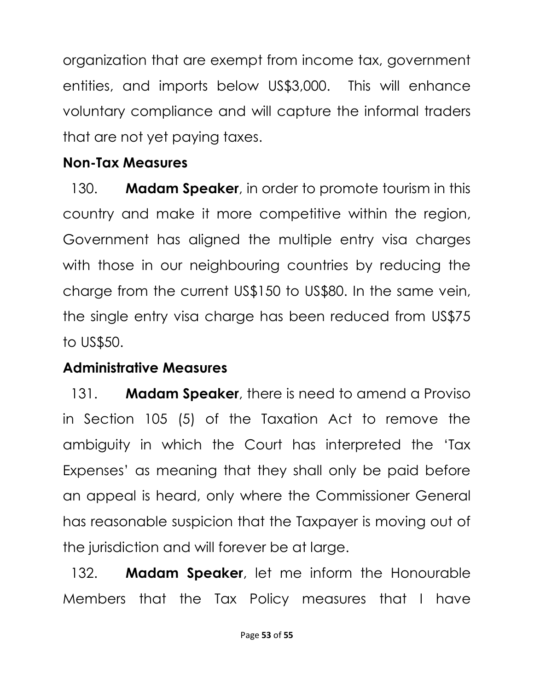organization that are exempt from income tax, government entities, and imports below US\$3,000. This will enhance voluntary compliance and will capture the informal traders that are not yet paying taxes.

## **Non-Tax Measures**

130. **Madam Speaker**, in order to promote tourism in this country and make it more competitive within the region, Government has aligned the multiple entry visa charges with those in our neighbouring countries by reducing the charge from the current US\$150 to US\$80. In the same vein, the single entry visa charge has been reduced from US\$75 to US\$50.

## **Administrative Measures**

131. **Madam Speaker**, there is need to amend a Proviso in Section 105 (5) of the Taxation Act to remove the ambiguity in which the Court has interpreted the 'Tax Expenses' as meaning that they shall only be paid before an appeal is heard, only where the Commissioner General has reasonable suspicion that the Taxpayer is moving out of the jurisdiction and will forever be at large.

132. **Madam Speaker**, let me inform the Honourable Members that the Tax Policy measures that I have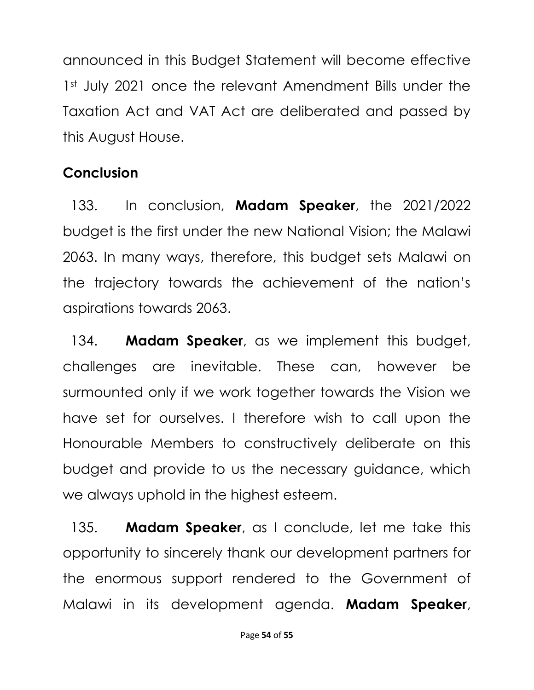announced in this Budget Statement will become effective 1st July 2021 once the relevant Amendment Bills under the Taxation Act and VAT Act are deliberated and passed by this August House.

# **Conclusion**

133. In conclusion, **Madam Speaker**, the 2021/2022 budget is the first under the new National Vision; the Malawi 2063. In many ways, therefore, this budget sets Malawi on the trajectory towards the achievement of the nation's aspirations towards 2063.

134. **Madam Speaker**, as we implement this budget, challenges are inevitable. These can, however be surmounted only if we work together towards the Vision we have set for ourselves. I therefore wish to call upon the Honourable Members to constructively deliberate on this budget and provide to us the necessary guidance, which we always uphold in the highest esteem.

135. **Madam Speaker**, as I conclude, let me take this opportunity to sincerely thank our development partners for the enormous support rendered to the Government of Malawi in its development agenda. **Madam Speaker**,